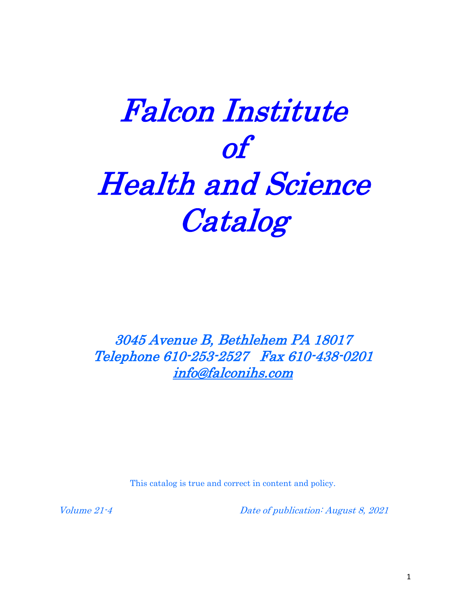# Falcon Institute of Health and Science **Catalog**

3045 Avenue B, Bethlehem PA 18017 Telephone 610-253-2527 Fax 610-438-0201 [info@falconihs.com](mailto:info@falconihs.com) 

This catalog is true and correct in content and policy.

Volume 21-4 Date of publication: August 8, 2021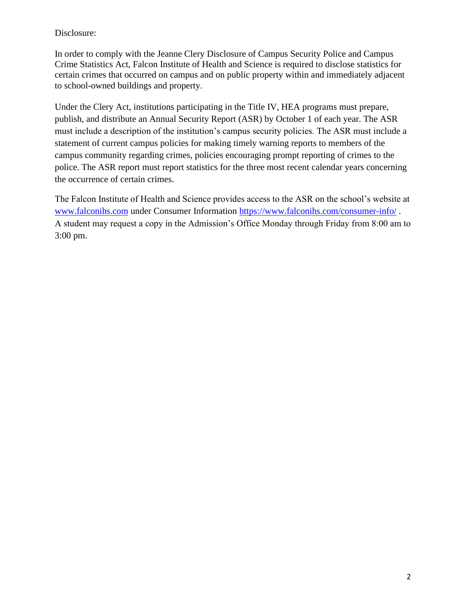#### Disclosure:

In order to comply with the Jeanne Clery Disclosure of Campus Security Police and Campus Crime Statistics Act, Falcon Institute of Health and Science is required to disclose statistics for certain crimes that occurred on campus and on public property within and immediately adjacent to school-owned buildings and property.

Under the Clery Act, institutions participating in the Title IV, HEA programs must prepare, publish, and distribute an Annual Security Report (ASR) by October 1 of each year. The ASR must include a description of the institution's campus security policies. The ASR must include a statement of current campus policies for making timely warning reports to members of the campus community regarding crimes, policies encouraging prompt reporting of crimes to the police. The ASR report must report statistics for the three most recent calendar years concerning the occurrence of certain crimes.

The Falcon Institute of Health and Science provides access to the ASR on the school's website at [www.falconihs.com](http://www.falconihs.com/) under Consumer Information<https://www.falconihs.com/consumer-info/> . A student may request a copy in the Admission's Office Monday through Friday from 8:00 am to 3:00 pm.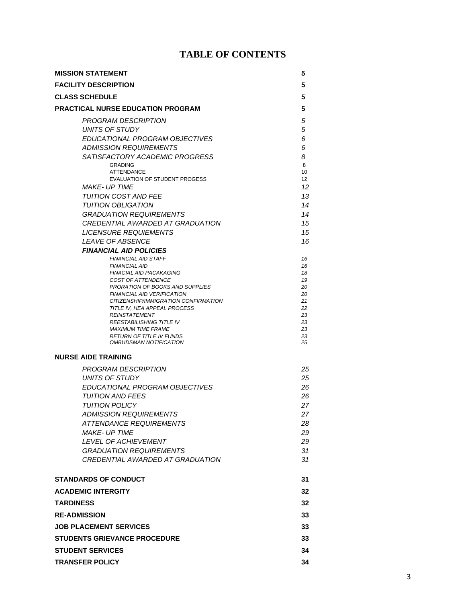# **TABLE OF CONTENTS**

| <b>MISSION STATEMENT</b>      |                                                                                                                                                                                                                                                                                                                                                                                                                                                                                                                                                                                                                                                                                                                                                                                                          | 5                                                                                                                                            |
|-------------------------------|----------------------------------------------------------------------------------------------------------------------------------------------------------------------------------------------------------------------------------------------------------------------------------------------------------------------------------------------------------------------------------------------------------------------------------------------------------------------------------------------------------------------------------------------------------------------------------------------------------------------------------------------------------------------------------------------------------------------------------------------------------------------------------------------------------|----------------------------------------------------------------------------------------------------------------------------------------------|
| <b>FACILITY DESCRIPTION</b>   |                                                                                                                                                                                                                                                                                                                                                                                                                                                                                                                                                                                                                                                                                                                                                                                                          | 5                                                                                                                                            |
| <b>CLASS SCHEDULE</b>         |                                                                                                                                                                                                                                                                                                                                                                                                                                                                                                                                                                                                                                                                                                                                                                                                          | 5                                                                                                                                            |
|                               | <b>PRACTICAL NURSE EDUCATION PROGRAM</b>                                                                                                                                                                                                                                                                                                                                                                                                                                                                                                                                                                                                                                                                                                                                                                 | 5                                                                                                                                            |
|                               | PROGRAM DESCRIPTION<br>UNITS OF STUDY<br>EDUCATIONAL PROGRAM OBJECTIVES<br><b>ADMISSION REQUIREMENTS</b><br>SATISFACTORY ACADEMIC PROGRESS<br><b>GRADING</b><br><b>ATTENDANCE</b><br>EVALUATION OF STUDENT PROGESS<br><i>MAKE- UP TIME</i><br><b>TUITION COST AND FEE</b><br><i>TUITION OBLIGATION</i><br><i><b>GRADUATION REQUIREMENTS</b></i><br><i>CREDENTIAL AWARDED AT GRADUATION</i><br><i>LICENSURE REQUIEMENTS</i><br><b>LEAVE OF ABSENCE</b><br><b>FINANCIAL AID POLICIES</b><br><b>FINANCIAL AID STAFF</b><br><b>FINANCIAL AID</b><br>FINACIAL AID PACAKAGING<br>COST OF ATTENDENCE<br>PRORATION OF BOOKS AND SUPPLIES<br><b>FINANCIAL AID VERIFICATION</b><br>CITIZENSHIP/IMMIGRATION CONFIRMATION<br>TITLE IV, HEA APPEAL PROCESS<br><b>REINSTATEMENT</b><br><b>REESTABILISHING TITLE IV</b> | 5<br>5<br>6<br>6<br>8<br>8<br>10<br>12<br>12<br>13<br>14<br>14<br>15<br>15<br>16<br>16<br>16<br>18<br>19<br>20<br>20<br>21<br>22<br>23<br>23 |
|                               | <b>MAXIMUM TIME FRAME</b><br><b>RETURN OF TITLE IV FUNDS</b>                                                                                                                                                                                                                                                                                                                                                                                                                                                                                                                                                                                                                                                                                                                                             | 23<br>23                                                                                                                                     |
|                               | OMBUDSMAN NOTIFICATION                                                                                                                                                                                                                                                                                                                                                                                                                                                                                                                                                                                                                                                                                                                                                                                   | 25                                                                                                                                           |
| <b>NURSE AIDE TRAINING</b>    |                                                                                                                                                                                                                                                                                                                                                                                                                                                                                                                                                                                                                                                                                                                                                                                                          |                                                                                                                                              |
|                               | PROGRAM DESCRIPTION<br>UNITS OF STUDY<br>EDUCATIONAL PROGRAM OBJECTIVES<br><i>TUITION AND FEES</i><br>TUITION POLICY<br><b>ADMISSION REQUIREMENTS</b><br><i>ATTENDANCE REQUIREMENTS</i><br><b>MAKE-UP TIME</b><br><b>LEVEL OF ACHIEVEMENT</b><br><b>GRADUATION REQUIREMENTS</b><br>CREDENTIAL AWARDED AT GRADUATION                                                                                                                                                                                                                                                                                                                                                                                                                                                                                      | 25<br>25<br>26<br>26<br>27<br>27<br>28<br>29<br>29<br>31<br>31                                                                               |
| <b>STANDARDS OF CONDUCT</b>   |                                                                                                                                                                                                                                                                                                                                                                                                                                                                                                                                                                                                                                                                                                                                                                                                          | 31                                                                                                                                           |
| <b>ACADEMIC INTERGITY</b>     |                                                                                                                                                                                                                                                                                                                                                                                                                                                                                                                                                                                                                                                                                                                                                                                                          | 32                                                                                                                                           |
| <b>TARDINESS</b>              |                                                                                                                                                                                                                                                                                                                                                                                                                                                                                                                                                                                                                                                                                                                                                                                                          | 32                                                                                                                                           |
| <b>RE-ADMISSION</b>           |                                                                                                                                                                                                                                                                                                                                                                                                                                                                                                                                                                                                                                                                                                                                                                                                          | 33                                                                                                                                           |
| <b>JOB PLACEMENT SERVICES</b> |                                                                                                                                                                                                                                                                                                                                                                                                                                                                                                                                                                                                                                                                                                                                                                                                          | 33                                                                                                                                           |
|                               | <b>STUDENTS GRIEVANCE PROCEDURE</b>                                                                                                                                                                                                                                                                                                                                                                                                                                                                                                                                                                                                                                                                                                                                                                      | 33                                                                                                                                           |
| <b>STUDENT SERVICES</b>       |                                                                                                                                                                                                                                                                                                                                                                                                                                                                                                                                                                                                                                                                                                                                                                                                          | 34                                                                                                                                           |
| <b>TRANSFER POLICY</b>        |                                                                                                                                                                                                                                                                                                                                                                                                                                                                                                                                                                                                                                                                                                                                                                                                          | 34                                                                                                                                           |
|                               |                                                                                                                                                                                                                                                                                                                                                                                                                                                                                                                                                                                                                                                                                                                                                                                                          |                                                                                                                                              |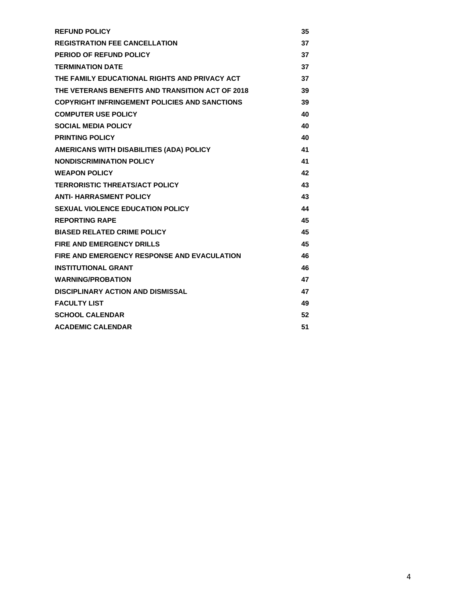| <b>REFUND POLICY</b>                                 | 35 |
|------------------------------------------------------|----|
| <b>REGISTRATION FEE CANCELLATION</b>                 | 37 |
| PERIOD OF REFUND POLICY                              | 37 |
| <b>TERMINATION DATE</b>                              | 37 |
| THE FAMILY EDUCATIONAL RIGHTS AND PRIVACY ACT        | 37 |
| THE VETERANS BENEFITS AND TRANSITION ACT OF 2018     | 39 |
| <b>COPYRIGHT INFRINGEMENT POLICIES AND SANCTIONS</b> | 39 |
| <b>COMPUTER USE POLICY</b>                           | 40 |
| <b>SOCIAL MEDIA POLICY</b>                           | 40 |
| <b>PRINTING POLICY</b>                               | 40 |
| AMERICANS WITH DISABILITIES (ADA) POLICY             | 41 |
| <b>NONDISCRIMINATION POLICY</b>                      | 41 |
| <b>WEAPON POLICY</b>                                 | 42 |
| <b>TERRORISTIC THREATS/ACT POLICY</b>                | 43 |
| <b>ANTI- HARRASMENT POLICY</b>                       | 43 |
| <b>SEXUAL VIOLENCE EDUCATION POLICY</b>              | 44 |
| <b>REPORTING RAPE</b>                                | 45 |
| <b>BIASED RELATED CRIME POLICY</b>                   | 45 |
| <b>FIRE AND EMERGENCY DRILLS</b>                     | 45 |
| <b>FIRE AND EMERGENCY RESPONSE AND EVACULATION</b>   | 46 |
| <b>INSTITUTIONAL GRANT</b>                           | 46 |
| <b>WARNING/PROBATION</b>                             | 47 |
| <b>DISCIPLINARY ACTION AND DISMISSAL</b>             | 47 |
| <b>FACULTY LIST</b>                                  | 49 |
| <b>SCHOOL CALENDAR</b>                               | 52 |
| <b>ACADEMIC CALENDAR</b>                             | 51 |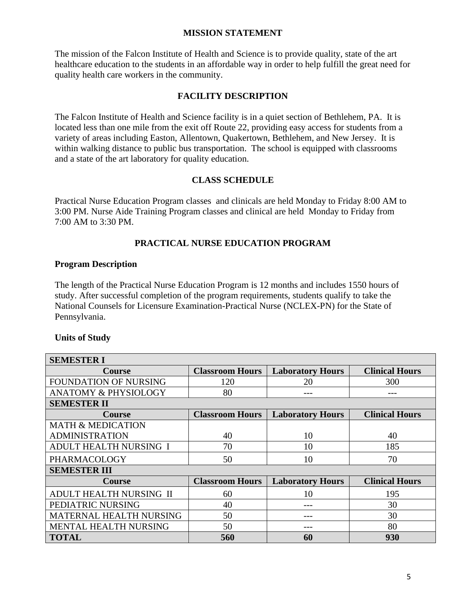#### **MISSION STATEMENT**

The mission of the Falcon Institute of Health and Science is to provide quality, state of the art healthcare education to the students in an affordable way in order to help fulfill the great need for quality health care workers in the community.

## **FACILITY DESCRIPTION**

The Falcon Institute of Health and Science facility is in a quiet section of Bethlehem, PA. It is located less than one mile from the exit off Route 22, providing easy access for students from a variety of areas including Easton, Allentown, Quakertown, Bethlehem, and New Jersey. It is within walking distance to public bus transportation. The school is equipped with classrooms and a state of the art laboratory for quality education.

#### **CLASS SCHEDULE**

Practical Nurse Education Program classes and clinicals are held Monday to Friday 8:00 AM to 3:00 PM. Nurse Aide Training Program classes and clinical are held Monday to Friday from 7:00 AM to 3:30 PM.

## **PRACTICAL NURSE EDUCATION PROGRAM**

#### **Program Description**

The length of the Practical Nurse Education Program is 12 months and includes 1550 hours of study. After successful completion of the program requirements, students qualify to take the National Counsels for Licensure Examination-Practical Nurse (NCLEX-PN) for the State of Pennsylvania.

#### **Units of Study**

| <b>SEMESTER I</b>               |                        |                         |                       |
|---------------------------------|------------------------|-------------------------|-----------------------|
| <b>Course</b>                   | <b>Classroom Hours</b> | <b>Laboratory Hours</b> | <b>Clinical Hours</b> |
| FOUNDATION OF NURSING           | 120                    | 20                      | 300                   |
| <b>ANATOMY &amp; PHYSIOLOGY</b> | 80                     | ---                     |                       |
| <b>SEMESTER II</b>              |                        |                         |                       |
| <b>Course</b>                   | <b>Classroom Hours</b> | <b>Laboratory Hours</b> | <b>Clinical Hours</b> |
| <b>MATH &amp; MEDICATION</b>    |                        |                         |                       |
| <b>ADMINISTRATION</b>           | 40                     | 10                      | 40                    |
| ADULT HEALTH NURSING I          | 70                     | 10                      | 185                   |
| PHARMACOLOGY                    | 50                     | 10                      | 70                    |
| <b>SEMESTER III</b>             |                        |                         |                       |
| <b>Course</b>                   | <b>Classroom Hours</b> | <b>Laboratory Hours</b> | <b>Clinical Hours</b> |
| ADULT HEALTH NURSING II         | 60                     | 10                      | 195                   |
| PEDIATRIC NURSING               | 40                     | ---                     | 30                    |
| MATERNAL HEALTH NURSING         | 50                     | ---                     | 30                    |
| MENTAL HEALTH NURSING           | 50                     | ---                     | 80                    |
| <b>TOTAL</b>                    | 560                    | 60                      | 930                   |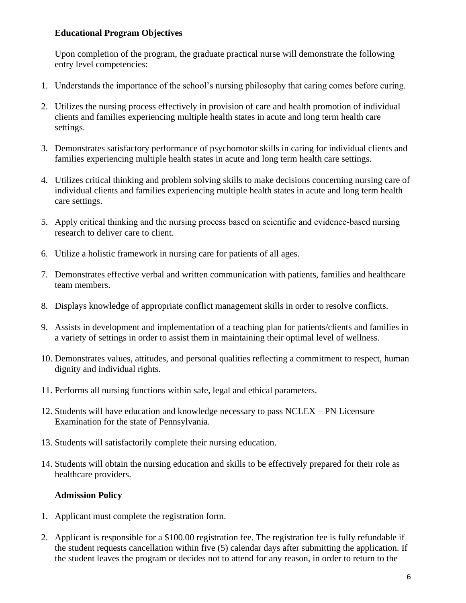#### **Educational Program Objectives**

Upon completion of the program, the graduate practical nurse will demonstrate the following entry level competencies:

- 1. Understands the importance of the school's nursing philosophy that caring comes before curing.
- 2. Utilizes the nursing process effectively in provision of care and health promotion of individual clients and families experiencing multiple health states in acute and long term health care settings.
- 3. Demonstrates satisfactory performance of psychomotor skills in caring for individual clients and families experiencing multiple health states in acute and long term health care settings.
- 4. Utilizes critical thinking and problem solving skills to make decisions concerning nursing care of individual clients and families experiencing multiple health states in acute and long term health care settings.
- 5. Apply critical thinking and the nursing process based on scientific and evidence-based nursing research to deliver care to client.
- 6. Utilize a holistic framework in nursing care for patients of all ages.
- 7. Demonstrates effective verbal and written communication with patients, families and healthcare team members.
- 8. Displays knowledge of appropriate conflict management skills in order to resolve conflicts.
- 9. Assists in development and implementation of a teaching plan for patients/clients and families in a variety of settings in order to assist them in maintaining their optimal level of wellness.
- 10. Demonstrates values, attitudes, and personal qualities reflecting a commitment to respect, human dignity and individual rights.
- 11. Performs all nursing functions within safe, legal and ethical parameters.
- 12. Students will have education and knowledge necessary to pass NCLEX PN Licensure Examination for the state of Pennsylvania.
- 13. Students will satisfactorily complete their nursing education.
- 14. Students will obtain the nursing education and skills to be effectively prepared for their role as healthcare providers.

#### **Admission Policy**

- 1. Applicant must complete the registration form.
- 2. Applicant is responsible for a \$100.00 registration fee. The registration fee is fully refundable if the student requests cancellation within five (5) calendar days after submitting the application. If the student leaves the program or decides not to attend for any reason, in order to return to the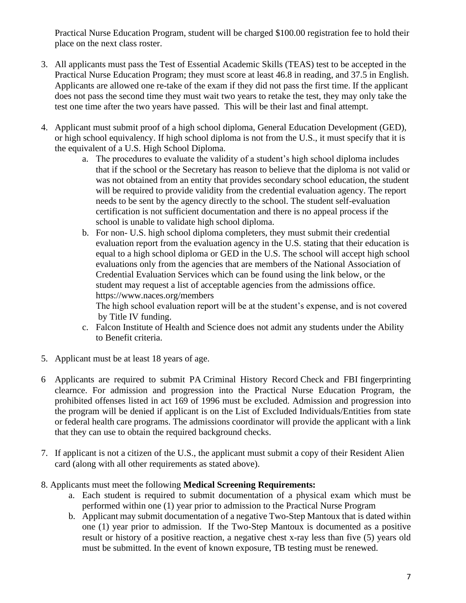Practical Nurse Education Program, student will be charged \$100.00 registration fee to hold their place on the next class roster.

- 3. All applicants must pass the Test of Essential Academic Skills (TEAS) test to be accepted in the Practical Nurse Education Program; they must score at least 46.8 in reading, and 37.5 in English. Applicants are allowed one re-take of the exam if they did not pass the first time. If the applicant does not pass the second time they must wait two years to retake the test, they may only take the test one time after the two years have passed. This will be their last and final attempt.
- 4. Applicant must submit proof of a high school diploma, General Education Development (GED), or high school equivalency. If high school diploma is not from the U.S., it must specify that it is the equivalent of a U.S. High School Diploma.
	- a. The procedures to evaluate the validity of a student's high school diploma includes that if the school or the Secretary has reason to believe that the diploma is not valid or was not obtained from an entity that provides secondary school education, the student will be required to provide validity from the credential evaluation agency. The report needs to be sent by the agency directly to the school. The student self-evaluation certification is not sufficient documentation and there is no appeal process if the school is unable to validate high school diploma.
	- b. For non- U.S. high school diploma completers, they must submit their credential evaluation report from the evaluation agency in the U.S. stating that their education is equal to a high school diploma or GED in the U.S. The school will accept high school evaluations only from the agencies that are members of the National Association of Credential Evaluation Services which can be found using the link below, or the student may request a list of acceptable agencies from the admissions office. https://www.naces.org/members

The high school evaluation report will be at the student's expense, and is not covered by Title IV funding.

- c. Falcon Institute of Health and Science does not admit any students under the Ability to Benefit criteria.
- 5. Applicant must be at least 18 years of age.
- 6 Applicants are required to submit PA Criminal History Record Check and FBI fingerprinting clearnce. For admission and progression into the Practical Nurse Education Program, the prohibited offenses listed in act 169 of 1996 must be excluded. Admission and progression into the program will be denied if applicant is on the List of Excluded Individuals/Entities from state or federal health care programs. The admissions coordinator will provide the applicant with a link that they can use to obtain the required background checks.
- 7. If applicant is not a citizen of the U.S., the applicant must submit a copy of their Resident Alien card (along with all other requirements as stated above).
- 8. Applicants must meet the following **Medical Screening Requirements:** 
	- a. Each student is required to submit documentation of a physical exam which must be performed within one (1) year prior to admission to the Practical Nurse Program
	- b. Applicant may submit documentation of a negative Two-Step Mantoux that is dated within one (1) year prior to admission. If the Two-Step Mantoux is documented as a positive result or history of a positive reaction, a negative chest x-ray less than five (5) years old must be submitted. In the event of known exposure, TB testing must be renewed.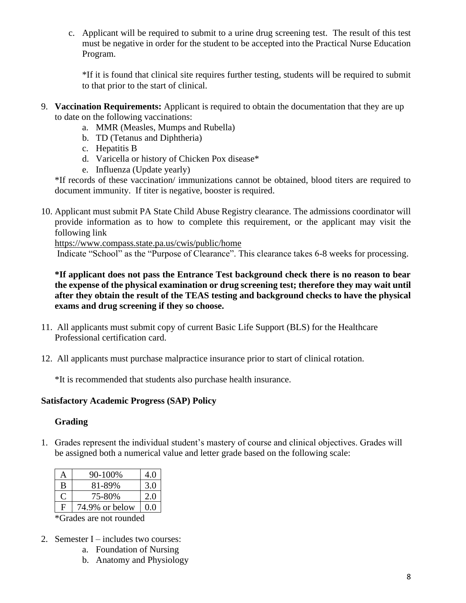c. Applicant will be required to submit to a urine drug screening test. The result of this test must be negative in order for the student to be accepted into the Practical Nurse Education Program.

\*If it is found that clinical site requires further testing, students will be required to submit to that prior to the start of clinical.

- 9. **Vaccination Requirements:** Applicant is required to obtain the documentation that they are up to date on the following vaccinations:
	- a. MMR (Measles, Mumps and Rubella)
	- b. TD (Tetanus and Diphtheria)
	- c. Hepatitis B
	- d. Varicella or history of Chicken Pox disease\*
	- e. Influenza (Update yearly)

\*If records of these vaccination/ immunizations cannot be obtained, blood titers are required to document immunity. If titer is negative, booster is required.

10. Applicant must submit PA State Child Abuse Registry clearance. The admissions coordinator will provide information as to how to complete this requirement, or the applicant may visit the following link

<https://www.compass.state.pa.us/cwis/public/home> Indicate "School" as the "Purpose of Clearance". This clearance takes 6-8 weeks for processing.

**\*If applicant does not pass the Entrance Test background check there is no reason to bear the expense of the physical examination or drug screening test; therefore they may wait until after they obtain the result of the TEAS testing and background checks to have the physical exams and drug screening if they so choose.**

- 11. All applicants must submit copy of current Basic Life Support (BLS) for the Healthcare Professional certification card.
- 12. All applicants must purchase malpractice insurance prior to start of clinical rotation.

\*It is recommended that students also purchase health insurance.

# **Satisfactory Academic Progress (SAP) Policy**

#### **Grading**

1. Grades represent the individual student's mastery of course and clinical objectives. Grades will be assigned both a numerical value and letter grade based on the following scale:

| А | 90-100%        | 4.0 |
|---|----------------|-----|
| В | 81-89%         | 3.0 |
| U | 75-80%         | 2.0 |
| E | 74.9% or below | 0 0 |

\*Grades are not rounded

- 2. Semester I includes two courses:
	- a. Foundation of Nursing
	- b. Anatomy and Physiology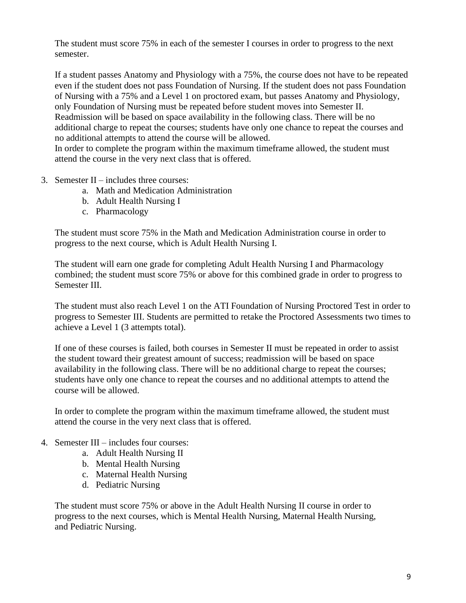The student must score 75% in each of the semester I courses in order to progress to the next semester.

If a student passes Anatomy and Physiology with a 75%, the course does not have to be repeated even if the student does not pass Foundation of Nursing. If the student does not pass Foundation of Nursing with a 75% and a Level 1 on proctored exam, but passes Anatomy and Physiology, only Foundation of Nursing must be repeated before student moves into Semester II. Readmission will be based on space availability in the following class. There will be no additional charge to repeat the courses; students have only one chance to repeat the courses and no additional attempts to attend the course will be allowed. In order to complete the program within the maximum timeframe allowed, the student must

attend the course in the very next class that is offered.

- 3. Semester II includes three courses:
	- a. Math and Medication Administration
	- b. Adult Health Nursing I
	- c. Pharmacology

The student must score 75% in the Math and Medication Administration course in order to progress to the next course, which is Adult Health Nursing I.

The student will earn one grade for completing Adult Health Nursing I and Pharmacology combined; the student must score 75% or above for this combined grade in order to progress to Semester III.

The student must also reach Level 1 on the ATI Foundation of Nursing Proctored Test in order to progress to Semester III. Students are permitted to retake the Proctored Assessments two times to achieve a Level 1 (3 attempts total).

If one of these courses is failed, both courses in Semester II must be repeated in order to assist the student toward their greatest amount of success; readmission will be based on space availability in the following class. There will be no additional charge to repeat the courses; students have only one chance to repeat the courses and no additional attempts to attend the course will be allowed.

 In order to complete the program within the maximum timeframe allowed, the student must attend the course in the very next class that is offered.

#### 4. Semester III – includes four courses:

- a. Adult Health Nursing II
- b. Mental Health Nursing
- c. Maternal Health Nursing
- d. Pediatric Nursing

The student must score 75% or above in the Adult Health Nursing II course in order to progress to the next courses, which is Mental Health Nursing, Maternal Health Nursing, and Pediatric Nursing.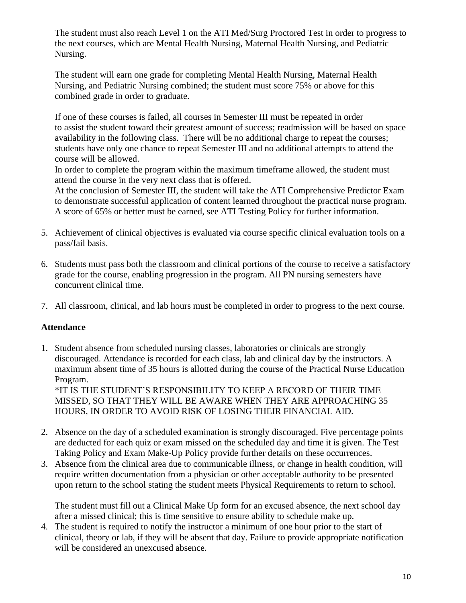The student must also reach Level 1 on the ATI Med/Surg Proctored Test in order to progress to the next courses, which are Mental Health Nursing, Maternal Health Nursing, and Pediatric Nursing.

The student will earn one grade for completing Mental Health Nursing, Maternal Health Nursing, and Pediatric Nursing combined; the student must score 75% or above for this combined grade in order to graduate.

If one of these courses is failed, all courses in Semester III must be repeated in order to assist the student toward their greatest amount of success; readmission will be based on space availability in the following class. There will be no additional charge to repeat the courses; students have only one chance to repeat Semester III and no additional attempts to attend the course will be allowed.

 In order to complete the program within the maximum timeframe allowed, the student must attend the course in the very next class that is offered.

At the conclusion of Semester III, the student will take the ATI Comprehensive Predictor Exam to demonstrate successful application of content learned throughout the practical nurse program. A score of 65% or better must be earned, see ATI Testing Policy for further information.

- 5. Achievement of clinical objectives is evaluated via course specific clinical evaluation tools on a pass/fail basis.
- 6. Students must pass both the classroom and clinical portions of the course to receive a satisfactory grade for the course, enabling progression in the program. All PN nursing semesters have concurrent clinical time.
- 7. All classroom, clinical, and lab hours must be completed in order to progress to the next course.

# **Attendance**

1. Student absence from scheduled nursing classes, laboratories or clinicals are strongly discouraged. Attendance is recorded for each class, lab and clinical day by the instructors. A maximum absent time of 35 hours is allotted during the course of the Practical Nurse Education Program.

\*IT IS THE STUDENT'S RESPONSIBILITY TO KEEP A RECORD OF THEIR TIME MISSED, SO THAT THEY WILL BE AWARE WHEN THEY ARE APPROACHING 35 HOURS, IN ORDER TO AVOID RISK OF LOSING THEIR FINANCIAL AID.

- 2. Absence on the day of a scheduled examination is strongly discouraged. Five percentage points are deducted for each quiz or exam missed on the scheduled day and time it is given. The Test Taking Policy and Exam Make-Up Policy provide further details on these occurrences.
- 3. Absence from the clinical area due to communicable illness, or change in health condition, will require written documentation from a physician or other acceptable authority to be presented upon return to the school stating the student meets Physical Requirements to return to school.

The student must fill out a Clinical Make Up form for an excused absence, the next school day after a missed clinical; this is time sensitive to ensure ability to schedule make up.

4. The student is required to notify the instructor a minimum of one hour prior to the start of clinical, theory or lab, if they will be absent that day. Failure to provide appropriate notification will be considered an unexcused absence.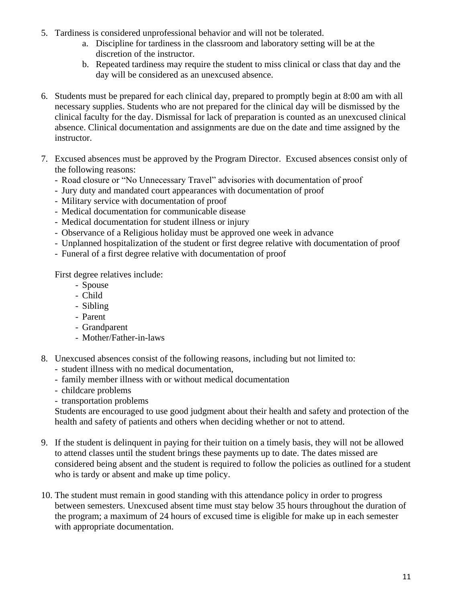- 5. Tardiness is considered unprofessional behavior and will not be tolerated.
	- a. Discipline for tardiness in the classroom and laboratory setting will be at the discretion of the instructor.
	- b. Repeated tardiness may require the student to miss clinical or class that day and the day will be considered as an unexcused absence.
- 6. Students must be prepared for each clinical day, prepared to promptly begin at 8:00 am with all necessary supplies. Students who are not prepared for the clinical day will be dismissed by the clinical faculty for the day. Dismissal for lack of preparation is counted as an unexcused clinical absence. Clinical documentation and assignments are due on the date and time assigned by the instructor.
- 7. Excused absences must be approved by the Program Director. Excused absences consist only of the following reasons:
	- Road closure or "No Unnecessary Travel" advisories with documentation of proof
	- Jury duty and mandated court appearances with documentation of proof
	- Military service with documentation of proof
	- Medical documentation for communicable disease
	- Medical documentation for student illness or injury
	- Observance of a Religious holiday must be approved one week in advance
	- Unplanned hospitalization of the student or first degree relative with documentation of proof
	- Funeral of a first degree relative with documentation of proof

First degree relatives include:

- Spouse
- Child
- Sibling
- Parent
- Grandparent
- Mother/Father-in-laws
- 8. Unexcused absences consist of the following reasons, including but not limited to:
	- student illness with no medical documentation,
	- family member illness with or without medical documentation
	- childcare problems
	- transportation problems

Students are encouraged to use good judgment about their health and safety and protection of the health and safety of patients and others when deciding whether or not to attend.

- 9. If the student is delinquent in paying for their tuition on a timely basis, they will not be allowed to attend classes until the student brings these payments up to date. The dates missed are considered being absent and the student is required to follow the policies as outlined for a student who is tardy or absent and make up time policy.
- 10. The student must remain in good standing with this attendance policy in order to progress between semesters. Unexcused absent time must stay below 35 hours throughout the duration of the program; a maximum of 24 hours of excused time is eligible for make up in each semester with appropriate documentation.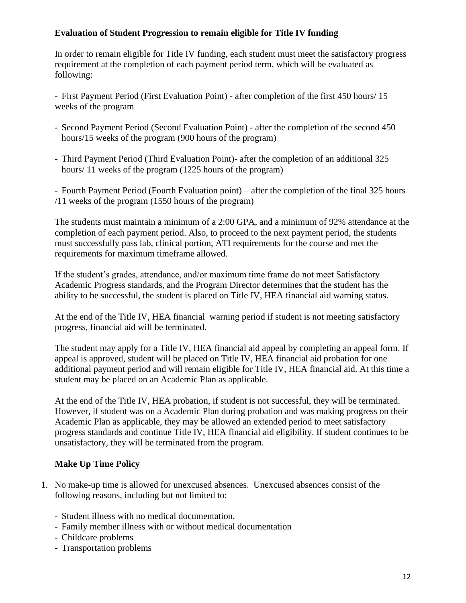## **Evaluation of Student Progression to remain eligible for Title IV funding**

In order to remain eligible for Title IV funding, each student must meet the satisfactory progress requirement at the completion of each payment period term, which will be evaluated as following:

- First Payment Period (First Evaluation Point) - after completion of the first 450 hours/ 15 weeks of the program

- Second Payment Period (Second Evaluation Point) after the completion of the second 450 hours/15 weeks of the program (900 hours of the program)
- Third Payment Period (Third Evaluation Point)- after the completion of an additional 325 hours/ 11 weeks of the program (1225 hours of the program)

- Fourth Payment Period (Fourth Evaluation point) – after the completion of the final 325 hours /11 weeks of the program (1550 hours of the program)

The students must maintain a minimum of a 2:00 GPA, and a minimum of 92% attendance at the completion of each payment period. Also, to proceed to the next payment period, the students must successfully pass lab, clinical portion, ATI requirements for the course and met the requirements for maximum timeframe allowed.

If the student's grades, attendance, and/or maximum time frame do not meet Satisfactory Academic Progress standards, and the Program Director determines that the student has the ability to be successful, the student is placed on Title IV, HEA financial aid warning status.

At the end of the Title IV, HEA financial warning period if student is not meeting satisfactory progress, financial aid will be terminated.

The student may apply for a Title IV, HEA financial aid appeal by completing an appeal form. If appeal is approved, student will be placed on Title IV, HEA financial aid probation for one additional payment period and will remain eligible for Title IV, HEA financial aid. At this time a student may be placed on an Academic Plan as applicable.

At the end of the Title IV, HEA probation, if student is not successful, they will be terminated. However, if student was on a Academic Plan during probation and was making progress on their Academic Plan as applicable, they may be allowed an extended period to meet satisfactory progress standards and continue Title IV, HEA financial aid eligibility. If student continues to be unsatisfactory, they will be terminated from the program.

# **Make Up Time Policy**

- 1. No make-up time is allowed for unexcused absences. Unexcused absences consist of the following reasons, including but not limited to:
	- Student illness with no medical documentation,
	- Family member illness with or without medical documentation
	- Childcare problems
	- Transportation problems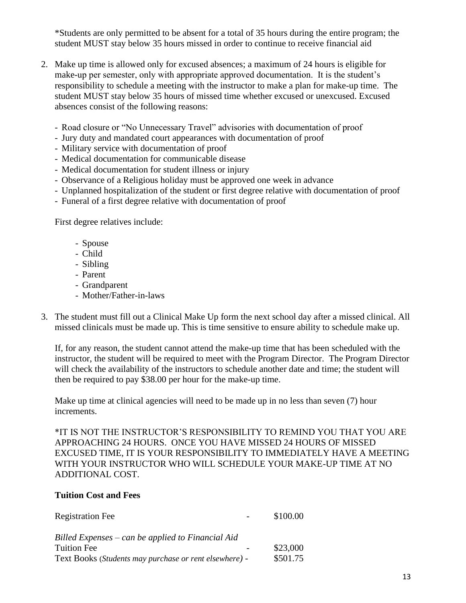\*Students are only permitted to be absent for a total of 35 hours during the entire program; the student MUST stay below 35 hours missed in order to continue to receive financial aid

- 2. Make up time is allowed only for excused absences; a maximum of 24 hours is eligible for make-up per semester, only with appropriate approved documentation. It is the student's responsibility to schedule a meeting with the instructor to make a plan for make-up time. The student MUST stay below 35 hours of missed time whether excused or unexcused. Excused absences consist of the following reasons:
	- Road closure or "No Unnecessary Travel" advisories with documentation of proof
	- Jury duty and mandated court appearances with documentation of proof
	- Military service with documentation of proof
	- Medical documentation for communicable disease
	- Medical documentation for student illness or injury
	- Observance of a Religious holiday must be approved one week in advance
	- Unplanned hospitalization of the student or first degree relative with documentation of proof
	- Funeral of a first degree relative with documentation of proof

First degree relatives include:

- Spouse
- Child
- Sibling
- Parent
- Grandparent
- Mother/Father-in-laws
- 3. The student must fill out a Clinical Make Up form the next school day after a missed clinical. All missed clinicals must be made up. This is time sensitive to ensure ability to schedule make up.

If, for any reason, the student cannot attend the make-up time that has been scheduled with the instructor, the student will be required to meet with the Program Director. The Program Director will check the availability of the instructors to schedule another date and time; the student will then be required to pay \$38.00 per hour for the make-up time.

Make up time at clinical agencies will need to be made up in no less than seven (7) hour increments.

\*IT IS NOT THE INSTRUCTOR'S RESPONSIBILITY TO REMIND YOU THAT YOU ARE APPROACHING 24 HOURS. ONCE YOU HAVE MISSED 24 HOURS OF MISSED EXCUSED TIME, IT IS YOUR RESPONSIBILITY TO IMMEDIATELY HAVE A MEETING WITH YOUR INSTRUCTOR WHO WILL SCHEDULE YOUR MAKE-UP TIME AT NO ADDITIONAL COST.

#### **Tuition Cost and Fees**

| <b>Registration Fee</b>                                |                          | \$100.00 |
|--------------------------------------------------------|--------------------------|----------|
| Billed Expenses – can be applied to Financial Aid      |                          |          |
| <b>Tuition Fee</b>                                     | $\overline{\phantom{0}}$ | \$23,000 |
| Text Books (Students may purchase or rent elsewhere) - |                          | \$501.75 |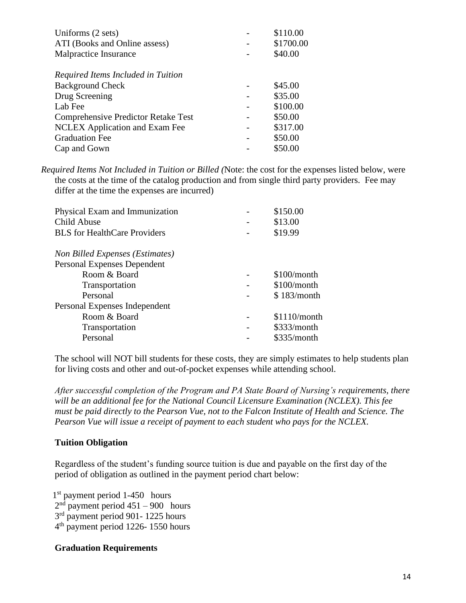| \$110.00  |
|-----------|
| \$1700.00 |
| \$40.00   |
|           |
|           |
| \$45.00   |
| \$35.00   |
| \$100.00  |
| \$50.00   |
| \$317.00  |
| \$50.00   |
| \$50.00   |
|           |

*Required Items Not Included in Tuition or Billed (*Note: the cost for the expenses listed below, were the costs at the time of the catalog production and from single third party providers. Fee may differ at the time the expenses are incurred)

| Physical Exam and Immunization         | \$150.00       |
|----------------------------------------|----------------|
| Child Abuse                            | \$13.00        |
| <b>BLS</b> for HealthCare Providers    | \$19.99        |
| <b>Non Billed Expenses (Estimates)</b> |                |
| Personal Expenses Dependent            |                |
| Room & Board                           | $$100/m$ onth  |
| Transportation                         | $$100/m$ onth  |
| Personal                               | \$183/month    |
| Personal Expenses Independent          |                |
| Room & Board                           | $$1110/m$ onth |
| Transportation                         | \$333/month    |
| Personal                               | \$335/month    |
|                                        |                |

The school will NOT bill students for these costs, they are simply estimates to help students plan for living costs and other and out-of-pocket expenses while attending school.

*After successful completion of the Program and PA State Board of Nursing's requirements, there will be an additional fee for the National Council Licensure Examination (NCLEX). This fee must be paid directly to the Pearson Vue, not to the Falcon Institute of Health and Science. The Pearson Vue will issue a receipt of payment to each student who pays for the NCLEX.* 

#### **Tuition Obligation**

Regardless of the student's funding source tuition is due and payable on the first day of the period of obligation as outlined in the payment period chart below:

1<sup>st</sup> payment period 1-450 hours  $2<sup>nd</sup>$  payment period 451 – 900 hours 3<sup>rd</sup> payment period 901-1225 hours 4<sup>th</sup> payment period 1226-1550 hours

#### **Graduation Requirements**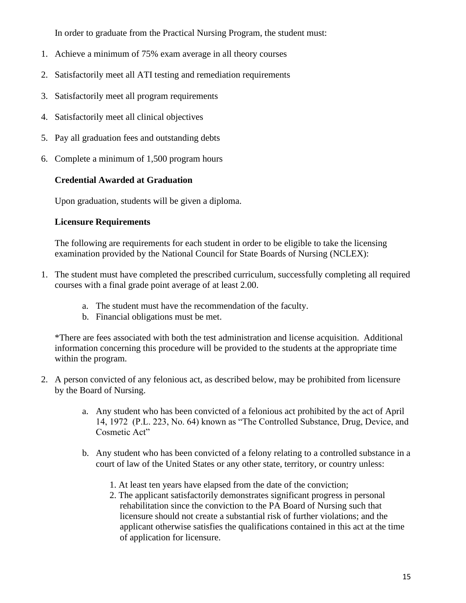In order to graduate from the Practical Nursing Program, the student must:

- 1. Achieve a minimum of 75% exam average in all theory courses
- 2. Satisfactorily meet all ATI testing and remediation requirements
- 3. Satisfactorily meet all program requirements
- 4. Satisfactorily meet all clinical objectives
- 5. Pay all graduation fees and outstanding debts
- 6. Complete a minimum of 1,500 program hours

## **Credential Awarded at Graduation**

Upon graduation, students will be given a diploma.

## **Licensure Requirements**

The following are requirements for each student in order to be eligible to take the licensing examination provided by the National Council for State Boards of Nursing (NCLEX):

- 1. The student must have completed the prescribed curriculum, successfully completing all required courses with a final grade point average of at least 2.00.
	- a. The student must have the recommendation of the faculty.
	- b. Financial obligations must be met.

\*There are fees associated with both the test administration and license acquisition. Additional information concerning this procedure will be provided to the students at the appropriate time within the program.

- 2. A person convicted of any felonious act, as described below, may be prohibited from licensure by the Board of Nursing.
	- a. Any student who has been convicted of a felonious act prohibited by the act of April 14, 1972 (P.L. 223, No. 64) known as "The Controlled Substance, Drug, Device, and Cosmetic Act"
	- b. Any student who has been convicted of a felony relating to a controlled substance in a court of law of the United States or any other state, territory, or country unless:
		- 1. At least ten years have elapsed from the date of the conviction;
		- 2. The applicant satisfactorily demonstrates significant progress in personal rehabilitation since the conviction to the PA Board of Nursing such that licensure should not create a substantial risk of further violations; and the applicant otherwise satisfies the qualifications contained in this act at the time of application for licensure.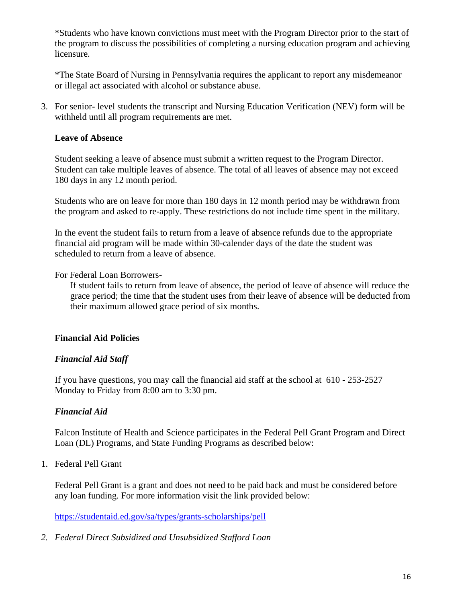\*Students who have known convictions must meet with the Program Director prior to the start of the program to discuss the possibilities of completing a nursing education program and achieving licensure.

\*The State Board of Nursing in Pennsylvania requires the applicant to report any misdemeanor or illegal act associated with alcohol or substance abuse.

3. For senior- level students the transcript and Nursing Education Verification (NEV) form will be withheld until all program requirements are met.

#### **Leave of Absence**

Student seeking a leave of absence must submit a written request to the Program Director. Student can take multiple leaves of absence. The total of all leaves of absence may not exceed 180 days in any 12 month period.

Students who are on leave for more than 180 days in 12 month period may be withdrawn from the program and asked to re-apply. These restrictions do not include time spent in the military.

In the event the student fails to return from a leave of absence refunds due to the appropriate financial aid program will be made within 30-calender days of the date the student was scheduled to return from a leave of absence.

For Federal Loan Borrowers-

If student fails to return from leave of absence, the period of leave of absence will reduce the grace period; the time that the student uses from their leave of absence will be deducted from their maximum allowed grace period of six months.

#### **Financial Aid Policies**

#### *Financial Aid Staff*

If you have questions, you may call the financial aid staff at the school at 610 - 253-2527 Monday to Friday from 8:00 am to 3:30 pm.

#### *Financial Aid*

Falcon Institute of Health and Science participates in the Federal Pell Grant Program and Direct Loan (DL) Programs, and State Funding Programs as described below:

#### 1. Federal Pell Grant

Federal Pell Grant is a grant and does not need to be paid back and must be considered before any loan funding. For more information visit the link provided below:

<https://studentaid.ed.gov/sa/types/grants-scholarships/pell>

*2. Federal Direct Subsidized and Unsubsidized Stafford Loan*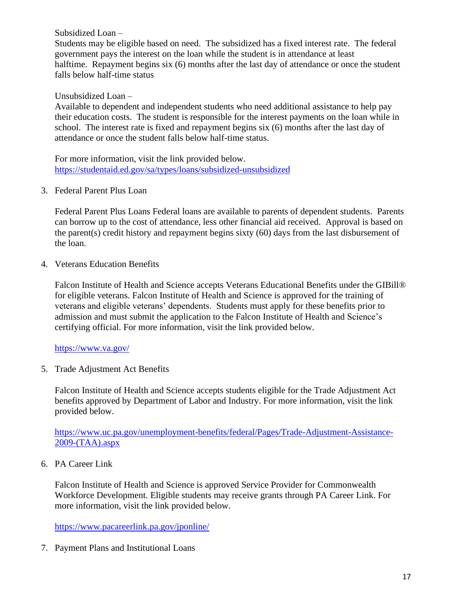Subsidized Loan –

Students may be eligible based on need. The subsidized has a fixed interest rate. The federal government pays the interest on the loan while the student is in attendance at least halftime. Repayment begins six (6) months after the last day of attendance or once the student falls below half-time status

Unsubsidized Loan –

Available to dependent and independent students who need additional assistance to help pay their education costs. The student is responsible for the interest payments on the loan while in school. The interest rate is fixed and repayment begins six (6) months after the last day of attendance or once the student falls below half-time status.

For more information, visit the link provided below. <https://studentaid.ed.gov/sa/types/loans/subsidized-unsubsidized>

3. Federal Parent Plus Loan

Federal Parent Plus Loans Federal loans are available to parents of dependent students. Parents can borrow up to the cost of attendance, less other financial aid received. Approval is based on the parent(s) credit history and repayment begins sixty (60) days from the last disbursement of the loan.

4. Veterans Education Benefits

Falcon Institute of Health and Science accepts Veterans Educational Benefits under the GIBill® for eligible veterans. Falcon Institute of Health and Science is approved for the training of veterans and eligible veterans' dependents. Students must apply for these benefits prior to admission and must submit the application to the Falcon Institute of Health and Science's certifying official. For more information, visit the link provided below.

<https://www.va.gov/>

5. Trade Adjustment Act Benefits

Falcon Institute of Health and Science accepts students eligible for the Trade Adjustment Act benefits approved by Department of Labor and Industry. For more information, visit the link provided below.

[https://www.uc.pa.gov/unemployment-benefits/federal/Pages/Trade-Adjustment-Assistance-](https://www.uc.pa.gov/unemployment-benefits/federal/Pages/Trade-Adjustment-Assistance-2009-(TAA).aspx)[2009-\(TAA\).aspx](https://www.uc.pa.gov/unemployment-benefits/federal/Pages/Trade-Adjustment-Assistance-2009-(TAA).aspx)

6. PA Career Link

Falcon Institute of Health and Science is approved Service Provider for Commonwealth Workforce Development. Eligible students may receive grants through PA Career Link. For more information, visit the link provided below.

<https://www.pacareerlink.pa.gov/jponline/>

7. Payment Plans and Institutional Loans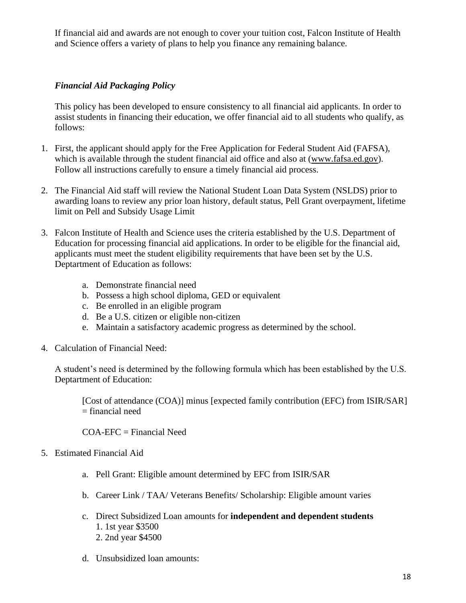If financial aid and awards are not enough to cover your tuition cost, Falcon Institute of Health and Science offers a variety of plans to help you finance any remaining balance.

# *Financial Aid Packaging Policy*

This policy has been developed to ensure consistency to all financial aid applicants. In order to assist students in financing their education, we offer financial aid to all students who qualify, as follows:

- 1. First, the applicant should apply for the Free Application for Federal Student Aid (FAFSA), which is available through the student financial aid office and also at [\(www.fafsa.ed.gov\)](http://www.fafsa.ed.gov/). Follow all instructions carefully to ensure a timely financial aid process.
- 2. The Financial Aid staff will review the National Student Loan Data System (NSLDS) prior to awarding loans to review any prior loan history, default status, Pell Grant overpayment, lifetime limit on Pell and Subsidy Usage Limit
- 3. Falcon Institute of Health and Science uses the criteria established by the U.S. Department of Education for processing financial aid applications. In order to be eligible for the financial aid, applicants must meet the student eligibility requirements that have been set by the U.S. Deptartment of Education as follows:
	- a. Demonstrate financial need
	- b. Possess a high school diploma, GED or equivalent
	- c. Be enrolled in an eligible program
	- d. Be a U.S. citizen or eligible non-citizen
	- e. Maintain a satisfactory academic progress as determined by the school.
- 4. Calculation of Financial Need:

A student's need is determined by the following formula which has been established by the U.S. Deptartment of Education:

[Cost of attendance (COA)] minus [expected family contribution (EFC) from ISIR/SAR]  $=$  financial need

 $COA-EFC = Financial Need$ 

- 5. Estimated Financial Aid
	- a. Pell Grant: Eligible amount determined by EFC from ISIR/SAR
	- b. Career Link / TAA/ Veterans Benefits/ Scholarship: Eligible amount varies
	- c. Direct Subsidized Loan amounts for **independent and dependent students**  1. 1st year \$3500 2. 2nd year \$4500
	- d. Unsubsidized loan amounts: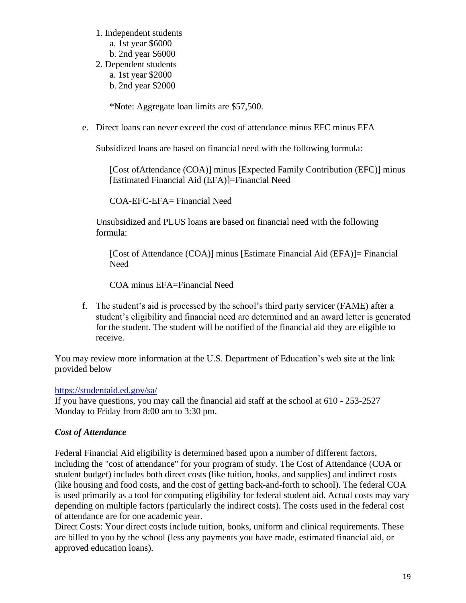- 1. Independent students
	- a. 1st year \$6000
	- b. 2nd year \$6000
- 2. Dependent students
	- a. 1st year \$2000
	- b. 2nd year \$2000

\*Note: Aggregate loan limits are \$57,500.

e. Direct loans can never exceed the cost of attendance minus EFC minus EFA

Subsidized loans are based on financial need with the following formula:

[Cost ofAttendance (COA)] minus [Expected Family Contribution (EFC)] minus [Estimated Financial Aid (EFA)]=Financial Need

COA-EFC-EFA= Financial Need

Unsubsidized and PLUS loans are based on financial need with the following formula:

[Cost of Attendance (COA)] minus [Estimate Financial Aid (EFA)]= Financial Need

COA minus EFA=Financial Need

f. The student's aid is processed by the school's third party servicer (FAME) after a student's eligibility and financial need are determined and an award letter is generated for the student. The student will be notified of the financial aid they are eligible to receive.

You may review more information at the U.S. Department of Education's web site at the link provided below

#### <https://studentaid.ed.gov/sa/>

If you have questions, you may call the financial aid staff at the school at 610 - 253-2527 Monday to Friday from 8:00 am to 3:30 pm.

#### *Cost of Attendance*

Federal Financial Aid eligibility is determined based upon a number of different factors, including the "cost of attendance" for your program of study. The Cost of Attendance (COA or student budget) includes both direct costs (like tuition, books, and supplies) and indirect costs (like housing and food costs, and the cost of getting back-and-forth to school). The federal COA is used primarily as a tool for computing eligibility for federal student aid. Actual costs may vary depending on multiple factors (particularly the indirect costs). The costs used in the federal cost of attendance are for one academic year.

Direct Costs: Your direct costs include tuition, books, uniform and clinical requirements. These are billed to you by the school (less any payments you have made, estimated financial aid, or approved education loans).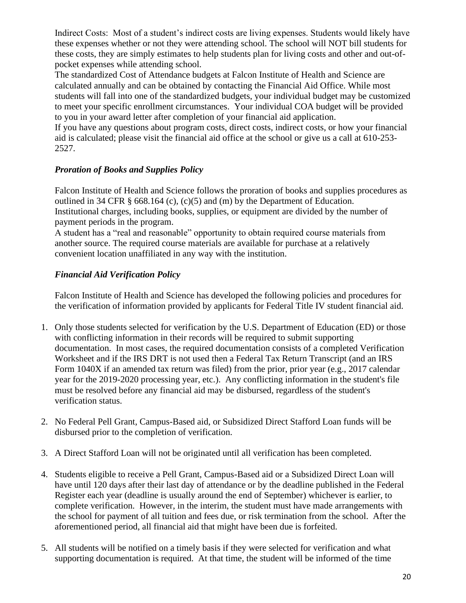Indirect Costs: Most of a student's indirect costs are living expenses. Students would likely have these expenses whether or not they were attending school. The school will NOT bill students for these costs, they are simply estimates to help students plan for living costs and other and out-ofpocket expenses while attending school.

The standardized Cost of Attendance budgets at Falcon Institute of Health and Science are calculated annually and can be obtained by contacting the Financial Aid Office. While most students will fall into one of the standardized budgets, your individual budget may be customized to meet your specific enrollment circumstances. Your individual COA budget will be provided to you in your award letter after completion of your financial aid application.

If you have any questions about program costs, direct costs, indirect costs, or how your financial aid is calculated; please visit the financial aid office at the school or give us a call at 610-253- 2527.

## *Proration of Books and Supplies Policy*

Falcon Institute of Health and Science follows the proration of books and supplies procedures as outlined in 34 CFR § 668.164 (c), (c)(5) and (m) by the Department of Education. Institutional charges, including books, supplies, or equipment are divided by the number of payment periods in the program.

A student has a "real and reasonable" opportunity to obtain required course materials from another source. The required course materials are available for purchase at a relatively convenient location unaffiliated in any way with the institution.

# *Financial Aid Verification Policy*

Falcon Institute of Health and Science has developed the following policies and procedures for the verification of information provided by applicants for Federal Title IV student financial aid.

- 1. Only those students selected for verification by the U.S. Department of Education (ED) or those with conflicting information in their records will be required to submit supporting documentation. In most cases, the required documentation consists of a completed Verification Worksheet and if the IRS DRT is not used then a Federal Tax Return Transcript (and an IRS Form 1040X if an amended tax return was filed) from the prior, prior year (e.g., 2017 calendar year for the 2019-2020 processing year, etc.). Any conflicting information in the student's file must be resolved before any financial aid may be disbursed, regardless of the student's verification status.
- 2. No Federal Pell Grant, Campus-Based aid, or Subsidized Direct Stafford Loan funds will be disbursed prior to the completion of verification.
- 3. A Direct Stafford Loan will not be originated until all verification has been completed.
- 4. Students eligible to receive a Pell Grant, Campus-Based aid or a Subsidized Direct Loan will have until 120 days after their last day of attendance or by the deadline published in the Federal Register each year (deadline is usually around the end of September) whichever is earlier, to complete verification. However, in the interim, the student must have made arrangements with the school for payment of all tuition and fees due, or risk termination from the school. After the aforementioned period, all financial aid that might have been due is forfeited.
- 5. All students will be notified on a timely basis if they were selected for verification and what supporting documentation is required. At that time, the student will be informed of the time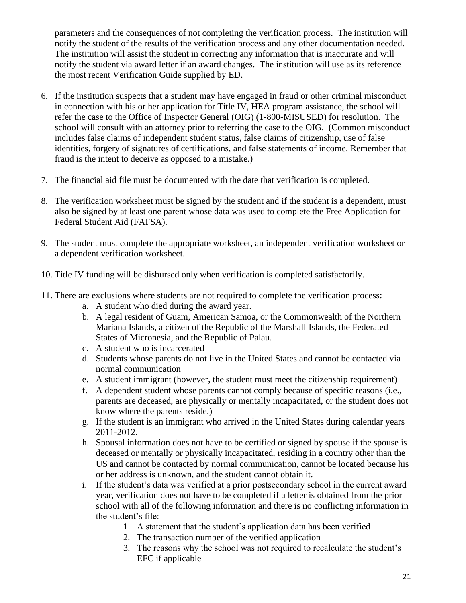parameters and the consequences of not completing the verification process. The institution will notify the student of the results of the verification process and any other documentation needed. The institution will assist the student in correcting any information that is inaccurate and will notify the student via award letter if an award changes. The institution will use as its reference the most recent Verification Guide supplied by ED.

- 6. If the institution suspects that a student may have engaged in fraud or other criminal misconduct in connection with his or her application for Title IV, HEA program assistance, the school will refer the case to the Office of Inspector General (OIG) (1-800-MISUSED) for resolution. The school will consult with an attorney prior to referring the case to the OIG. (Common misconduct includes false claims of independent student status, false claims of citizenship, use of false identities, forgery of signatures of certifications, and false statements of income. Remember that fraud is the intent to deceive as opposed to a mistake.)
- 7. The financial aid file must be documented with the date that verification is completed.
- 8. The verification worksheet must be signed by the student and if the student is a dependent, must also be signed by at least one parent whose data was used to complete the Free Application for Federal Student Aid (FAFSA).
- 9. The student must complete the appropriate worksheet, an independent verification worksheet or a dependent verification worksheet.
- 10. Title IV funding will be disbursed only when verification is completed satisfactorily.
- 11. There are exclusions where students are not required to complete the verification process:
	- a. A student who died during the award year.
	- b. A legal resident of Guam, American Samoa, or the Commonwealth of the Northern Mariana Islands, a citizen of the Republic of the Marshall Islands, the Federated States of Micronesia, and the Republic of Palau.
	- c. A student who is incarcerated
	- d. Students whose parents do not live in the United States and cannot be contacted via normal communication
	- e. A student immigrant (however, the student must meet the citizenship requirement)
	- f. A dependent student whose parents cannot comply because of specific reasons (i.e., parents are deceased, are physically or mentally incapacitated, or the student does not know where the parents reside.)
	- g. If the student is an immigrant who arrived in the United States during calendar years 2011-2012.
	- h. Spousal information does not have to be certified or signed by spouse if the spouse is deceased or mentally or physically incapacitated, residing in a country other than the US and cannot be contacted by normal communication, cannot be located because his or her address is unknown, and the student cannot obtain it.
	- i. If the student's data was verified at a prior postsecondary school in the current award year, verification does not have to be completed if a letter is obtained from the prior school with all of the following information and there is no conflicting information in the student's file:
		- 1. A statement that the student's application data has been verified
		- 2. The transaction number of the verified application
		- 3. The reasons why the school was not required to recalculate the student's EFC if applicable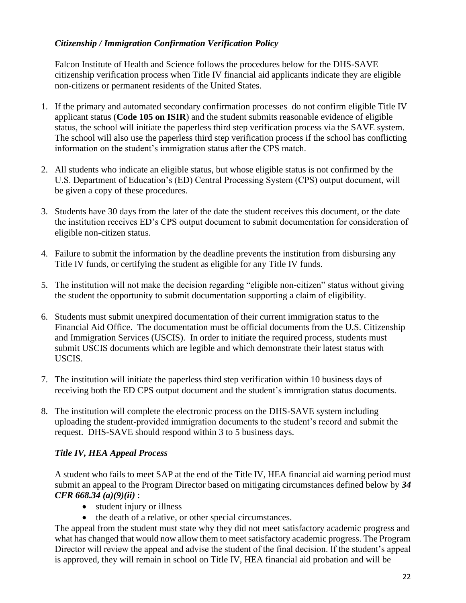## *Citizenship / Immigration Confirmation Verification Policy*

Falcon Institute of Health and Science follows the procedures below for the DHS-SAVE citizenship verification process when Title IV financial aid applicants indicate they are eligible non-citizens or permanent residents of the United States.

- 1. If the primary and automated secondary confirmation processes do not confirm eligible Title IV applicant status (**Code 105 on ISIR**) and the student submits reasonable evidence of eligible status, the school will initiate the paperless third step verification process via the SAVE system. The school will also use the paperless third step verification process if the school has conflicting information on the student's immigration status after the CPS match.
- 2. All students who indicate an eligible status, but whose eligible status is not confirmed by the U.S. Department of Education's (ED) Central Processing System (CPS) output document, will be given a copy of these procedures.
- 3. Students have 30 days from the later of the date the student receives this document, or the date the institution receives ED's CPS output document to submit documentation for consideration of eligible non-citizen status.
- 4. Failure to submit the information by the deadline prevents the institution from disbursing any Title IV funds, or certifying the student as eligible for any Title IV funds.
- 5. The institution will not make the decision regarding "eligible non-citizen" status without giving the student the opportunity to submit documentation supporting a claim of eligibility.
- 6. Students must submit unexpired documentation of their current immigration status to the Financial Aid Office. The documentation must be official documents from the U.S. Citizenship and Immigration Services (USCIS). In order to initiate the required process, students must submit USCIS documents which are legible and which demonstrate their latest status with USCIS.
- 7. The institution will initiate the paperless third step verification within 10 business days of receiving both the ED CPS output document and the student's immigration status documents.
- 8. The institution will complete the electronic process on the DHS-SAVE system including uploading the student-provided immigration documents to the student's record and submit the request. DHS-SAVE should respond within 3 to 5 business days.

# *Title IV, HEA Appeal Process*

A student who fails to meet SAP at the end of the Title IV, HEA financial aid warning period must submit an appeal to the Program Director based on mitigating circumstances defined below by *34 CFR 668.34 (a)(9)(ii)* :

- student injury or illness
- the death of a relative, or other special circumstances.

The appeal from the student must state why they did not meet satisfactory academic progress and what has changed that would now allow them to meet satisfactory academic progress. The Program Director will review the appeal and advise the student of the final decision. If the student's appeal is approved, they will remain in school on Title IV, HEA financial aid probation and will be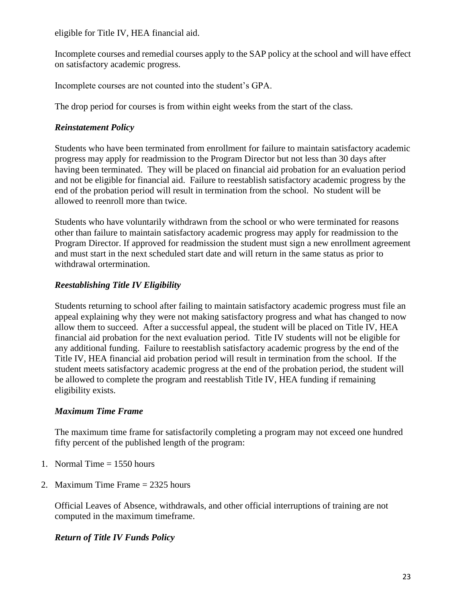eligible for Title IV, HEA financial aid.

Incomplete courses and remedial courses apply to the SAP policy at the school and will have effect on satisfactory academic progress.

Incomplete courses are not counted into the student's GPA.

The drop period for courses is from within eight weeks from the start of the class.

#### *Reinstatement Policy*

Students who have been terminated from enrollment for failure to maintain satisfactory academic progress may apply for readmission to the Program Director but not less than 30 days after having been terminated. They will be placed on financial aid probation for an evaluation period and not be eligible for financial aid. Failure to reestablish satisfactory academic progress by the end of the probation period will result in termination from the school. No student will be allowed to reenroll more than twice.

Students who have voluntarily withdrawn from the school or who were terminated for reasons other than failure to maintain satisfactory academic progress may apply for readmission to the Program Director. If approved for readmission the student must sign a new enrollment agreement and must start in the next scheduled start date and will return in the same status as prior to withdrawal ortermination.

#### *Reestablishing Title IV Eligibility*

Students returning to school after failing to maintain satisfactory academic progress must file an appeal explaining why they were not making satisfactory progress and what has changed to now allow them to succeed. After a successful appeal, the student will be placed on Title IV, HEA financial aid probation for the next evaluation period. Title IV students will not be eligible for any additional funding. Failure to reestablish satisfactory academic progress by the end of the Title IV, HEA financial aid probation period will result in termination from the school. If the student meets satisfactory academic progress at the end of the probation period, the student will be allowed to complete the program and reestablish Title IV, HEA funding if remaining eligibility exists.

#### *Maximum Time Frame*

The maximum time frame for satisfactorily completing a program may not exceed one hundred fifty percent of the published length of the program:

- 1. Normal Time  $= 1550$  hours
- 2. Maximum Time Frame = 2325 hours

Official Leaves of Absence, withdrawals, and other official interruptions of training are not computed in the maximum timeframe.

#### *Return of Title IV Funds Policy*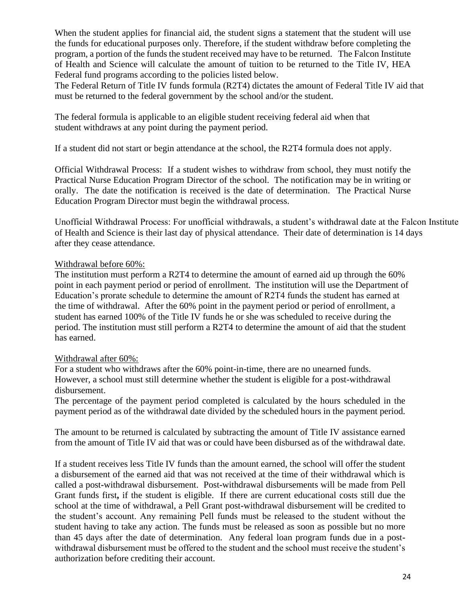When the student applies for financial aid, the student signs a statement that the student will use the funds for educational purposes only. Therefore, if the student withdraw before completing the program, a portion of the funds the student received may have to be returned. The Falcon Institute of Health and Science will calculate the amount of tuition to be returned to the Title IV, HEA Federal fund programs according to the policies listed below.

The Federal Return of Title IV funds formula (R2T4) dictates the amount of Federal Title IV aid that must be returned to the federal government by the school and/or the student.

The federal formula is applicable to an eligible student receiving federal aid when that student withdraws at any point during the payment period.

If a student did not start or begin attendance at the school, the R2T4 formula does not apply.

Official Withdrawal Process: If a student wishes to withdraw from school, they must notify the Practical Nurse Education Program Director of the school. The notification may be in writing or orally. The date the notification is received is the date of determination. The Practical Nurse Education Program Director must begin the withdrawal process.

Unofficial Withdrawal Process: For unofficial withdrawals, a student's withdrawal date at the Falcon Institute of Health and Science is their last day of physical attendance. Their date of determination is 14 days after they cease attendance.

## Withdrawal before 60%:

The institution must perform a R2T4 to determine the amount of earned aid up through the 60% point in each payment period or period of enrollment. The institution will use the Department of Education's prorate schedule to determine the amount of R2T4 funds the student has earned at the time of withdrawal. After the 60% point in the payment period or period of enrollment, a student has earned 100% of the Title IV funds he or she was scheduled to receive during the period. The institution must still perform a R2T4 to determine the amount of aid that the student has earned.

#### Withdrawal after 60%:

For a student who withdraws after the 60% point-in-time, there are no unearned funds. However, a school must still determine whether the student is eligible for a post-withdrawal disbursement.

The percentage of the payment period completed is calculated by the hours scheduled in the payment period as of the withdrawal date divided by the scheduled hours in the payment period.

The amount to be returned is calculated by subtracting the amount of Title IV assistance earned from the amount of Title IV aid that was or could have been disbursed as of the withdrawal date.

If a student receives less Title IV funds than the amount earned, the school will offer the student a disbursement of the earned aid that was not received at the time of their withdrawal which is called a post**-**withdrawal disbursement. Post**-**withdrawal disbursements will be made from Pell Grant funds first**,** if the student is eligible. If there are current educational costs still due the school at the time of withdrawal, a Pell Grant post**-**withdrawal disbursement will be credited to the student's account. Any remaining Pell funds must be released to the student without the student having to take any action. The funds must be released as soon as possible but no more than 45 days after the date of determination. Any federal loan program funds due in a postwithdrawal disbursement must be offered to the student and the school must receive the student's authorization before crediting their account.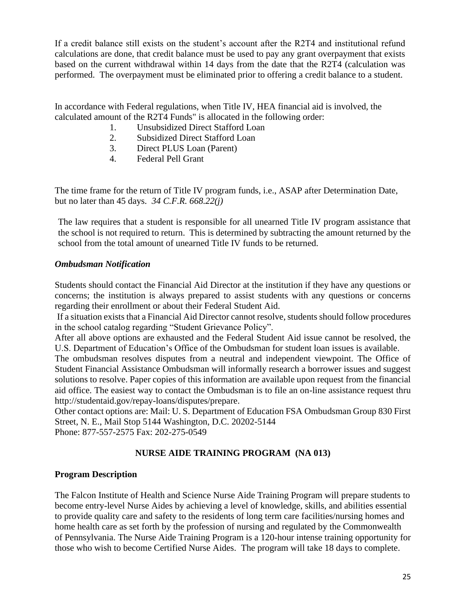If a credit balance still exists on the student's account after the R2T4 and institutional refund calculations are done, that credit balance must be used to pay any grant overpayment that exists based on the current withdrawal within 14 days from the date that the R2T4 (calculation was performed. The overpayment must be eliminated prior to offering a credit balance to a student.

In accordance with Federal regulations, when Title IV, HEA financial aid is involved, the calculated amount of the R2T4 Funds" is allocated in the following order:

- 1. Unsubsidized Direct Stafford Loan
- 2. Subsidized Direct Stafford Loan
- 3. Direct PLUS Loan (Parent)
- 4. Federal Pell Grant

The time frame for the return of Title IV program funds, i.e., ASAP after Determination Date, but no later than 45 days. *34 C.F.R. 668.22(j)*

The law requires that a student is responsible for all unearned Title IV program assistance that the school is not required to return. This is determined by subtracting the amount returned by the school from the total amount of unearned Title IV funds to be returned.

#### *Ombudsman Notification*

Students should contact the Financial Aid Director at the institution if they have any questions or concerns; the institution is always prepared to assist students with any questions or concerns regarding their enrollment or about their Federal Student Aid.

 If a situation exists that a Financial Aid Director cannot resolve, students should follow procedures in the school catalog regarding "Student Grievance Policy".

After all above options are exhausted and the Federal Student Aid issue cannot be resolved, the U.S. Department of Education's Office of the Ombudsman for student loan issues is available.

The ombudsman resolves disputes from a neutral and independent viewpoint. The Office of Student Financial Assistance Ombudsman will informally research a borrower issues and suggest solutions to resolve. Paper copies of this information are available upon request from the financial aid office. The easiest way to contact the Ombudsman is to file an on-line assistance request thru http://studentaid.gov/repay-loans/disputes/prepare.

Other contact options are: Mail: U. S. Department of Education FSA Ombudsman Group 830 First Street, N. E., Mail Stop 5144 Washington, D.C. 20202-5144 Phone: 877-557-2575 Fax: 202-275-0549

#### **NURSE AIDE TRAINING PROGRAM (NA 013)**

#### **Program Description**

The Falcon Institute of Health and Science Nurse Aide Training Program will prepare students to become entry-level Nurse Aides by achieving a level of knowledge, skills, and abilities essential to provide quality care and safety to the residents of long term care facilities/nursing homes and home health care as set forth by the profession of nursing and regulated by the Commonwealth of Pennsylvania. The Nurse Aide Training Program is a 120-hour intense training opportunity for those who wish to become Certified Nurse Aides. The program will take 18 days to complete.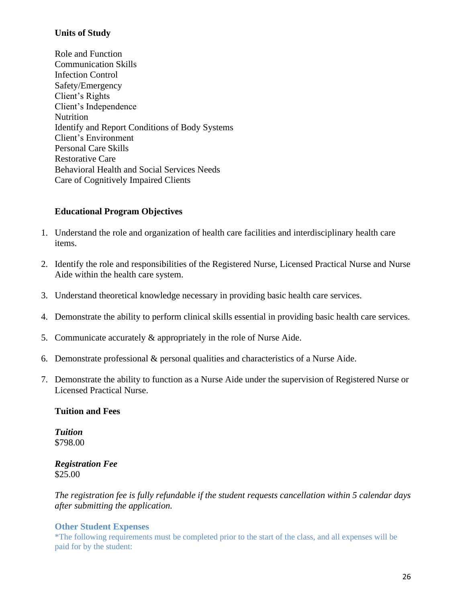#### **Units of Study**

Role and Function Communication Skills Infection Control Safety/Emergency Client's Rights Client's Independence Nutrition Identify and Report Conditions of Body Systems Client's Environment Personal Care Skills Restorative Care Behavioral Health and Social Services Needs Care of Cognitively Impaired Clients

## **Educational Program Objectives**

- 1. Understand the role and organization of health care facilities and interdisciplinary health care items.
- 2. Identify the role and responsibilities of the Registered Nurse, Licensed Practical Nurse and Nurse Aide within the health care system.
- 3. Understand theoretical knowledge necessary in providing basic health care services.
- 4. Demonstrate the ability to perform clinical skills essential in providing basic health care services.
- 5. Communicate accurately & appropriately in the role of Nurse Aide.
- 6. Demonstrate professional & personal qualities and characteristics of a Nurse Aide.
- 7. Demonstrate the ability to function as a Nurse Aide under the supervision of Registered Nurse or Licensed Practical Nurse.

#### **Tuition and Fees**

*Tuition* \$798.00

#### *Registration Fee* \$25.00

*The registration fee is fully refundable if the student requests cancellation within 5 calendar days after submitting the application.*

#### **Other Student Expenses**

\*The following requirements must be completed prior to the start of the class, and all expenses will be paid for by the student: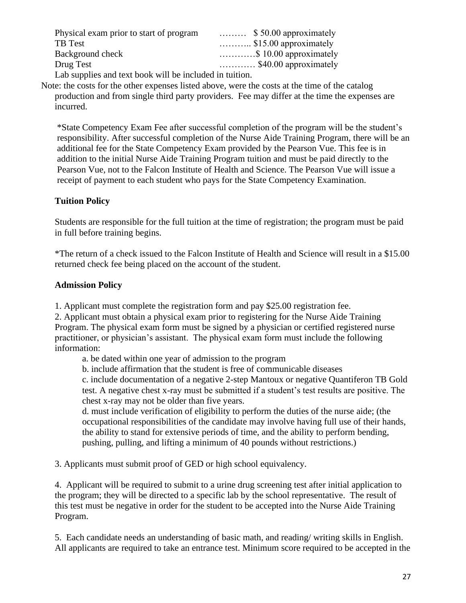| Physical exam prior to start of program                | $\ldots$ \$ 50.00 approximately |  |
|--------------------------------------------------------|---------------------------------|--|
| TB Test                                                | $\ldots$ \$15.00 approximately  |  |
| Background check                                       | $\ldots$ \$ 10.00 approximately |  |
| Drug Test                                              | $\ldots$ \$40.00 approximately  |  |
| Lob quantice and tout head will be included in tuition |                                 |  |

Lab supplies and text book will be included in tuition.

Note: the costs for the other expenses listed above, were the costs at the time of the catalog production and from single third party providers. Fee may differ at the time the expenses are incurred.

\*State Competency Exam Fee after successful completion of the program will be the student's responsibility. After successful completion of the Nurse Aide Training Program, there will be an additional fee for the State Competency Exam provided by the Pearson Vue. This fee is in addition to the initial Nurse Aide Training Program tuition and must be paid directly to the Pearson Vue, not to the Falcon Institute of Health and Science. The Pearson Vue will issue a receipt of payment to each student who pays for the State Competency Examination.

#### **Tuition Policy**

Students are responsible for the full tuition at the time of registration; the program must be paid in full before training begins.

\*The return of a check issued to the Falcon Institute of Health and Science will result in a \$15.00 returned check fee being placed on the account of the student.

#### **Admission Policy**

1. Applicant must complete the registration form and pay \$25.00 registration fee.

2. Applicant must obtain a physical exam prior to registering for the Nurse Aide Training Program. The physical exam form must be signed by a physician or certified registered nurse practitioner, or physician's assistant. The physical exam form must include the following information:

a. be dated within one year of admission to the program

b. include affirmation that the student is free of communicable diseases

c. include documentation of a negative 2-step Mantoux or negative Quantiferon TB Gold test. A negative chest x-ray must be submitted if a student's test results are positive. The chest x-ray may not be older than five years.

d. must include verification of eligibility to perform the duties of the nurse aide; (the occupational responsibilities of the candidate may involve having full use of their hands, the ability to stand for extensive periods of time, and the ability to perform bending, pushing, pulling, and lifting a minimum of 40 pounds without restrictions.)

3. Applicants must submit proof of GED or high school equivalency.

4. Applicant will be required to submit to a urine drug screening test after initial application to the program; they will be directed to a specific lab by the school representative. The result of this test must be negative in order for the student to be accepted into the Nurse Aide Training Program.

5. Each candidate needs an understanding of basic math, and reading/ writing skills in English. All applicants are required to take an entrance test. Minimum score required to be accepted in the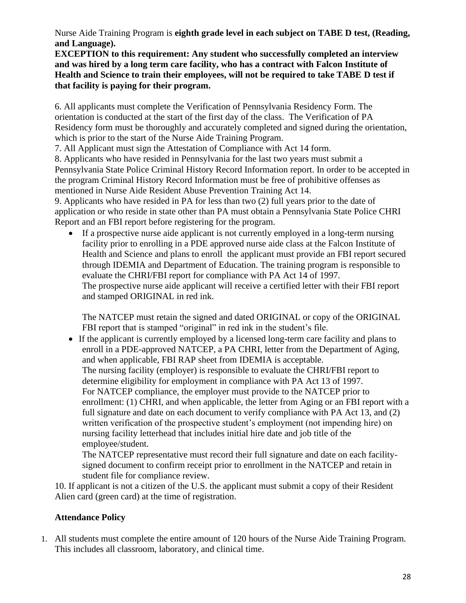Nurse Aide Training Program is **eighth grade level in each subject on TABE D test, (Reading, and Language).** 

**EXCEPTION to this requirement: Any student who successfully completed an interview and was hired by a long term care facility, who has a contract with Falcon Institute of Health and Science to train their employees, will not be required to take TABE D test if that facility is paying for their program.** 

6. All applicants must complete the Verification of Pennsylvania Residency Form. The orientation is conducted at the start of the first day of the class. The Verification of PA Residency form must be thoroughly and accurately completed and signed during the orientation, which is prior to the start of the Nurse Aide Training Program.

7. All Applicant must sign the Attestation of Compliance with Act 14 form.

8. Applicants who have resided in Pennsylvania for the last two years must submit a Pennsylvania State Police Criminal History Record Information report. In order to be accepted in the program Criminal History Record Information must be free of prohibitive offenses as mentioned in Nurse Aide Resident Abuse Prevention Training Act 14.

9. Applicants who have resided in PA for less than two (2) full years prior to the date of application or who reside in state other than PA must obtain a Pennsylvania State Police CHRI Report and an FBI report before registering for the program.

If a prospective nurse aide applicant is not currently employed in a long-term nursing facility prior to enrolling in a PDE approved nurse aide class at the Falcon Institute of Health and Science and plans to enroll the applicant must provide an FBI report secured through IDEMIA and Department of Education. The training program is responsible to evaluate the CHRI/FBI report for compliance with PA Act 14 of 1997. The prospective nurse aide applicant will receive a certified letter with their FBI report and stamped ORIGINAL in red ink.

The NATCEP must retain the signed and dated ORIGINAL or copy of the ORIGINAL FBI report that is stamped "original" in red ink in the student's file.

• If the applicant is currently employed by a licensed long-term care facility and plans to enroll in a PDE-approved NATCEP, a PA CHRI, letter from the Department of Aging, and when applicable, FBI RAP sheet from IDEMIA is acceptable. The nursing facility (employer) is responsible to evaluate the CHRI/FBI report to determine eligibility for employment in compliance with PA Act 13 of 1997. For NATCEP compliance, the employer must provide to the NATCEP prior to enrollment: (1) CHRI, and when applicable, the letter from Aging or an FBI report with a full signature and date on each document to verify compliance with PA Act 13, and (2) written verification of the prospective student's employment (not impending hire) on nursing facility letterhead that includes initial hire date and job title of the employee/student.

The NATCEP representative must record their full signature and date on each facilitysigned document to confirm receipt prior to enrollment in the NATCEP and retain in student file for compliance review.

10. If applicant is not a citizen of the U.S. the applicant must submit a copy of their Resident Alien card (green card) at the time of registration.

# **Attendance Policy**

1. All students must complete the entire amount of 120 hours of the Nurse Aide Training Program. This includes all classroom, laboratory, and clinical time.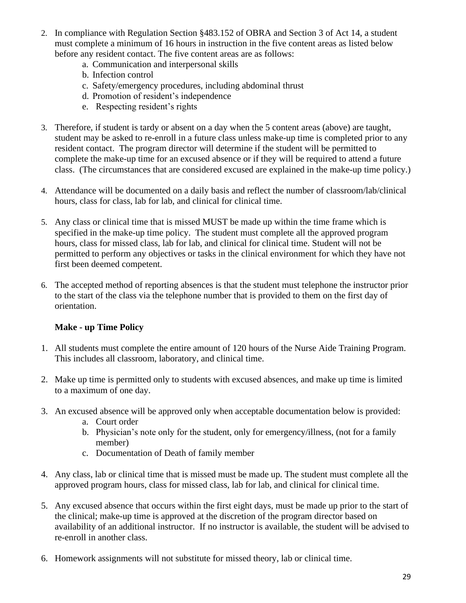- 2. In compliance with Regulation Section §483.152 of OBRA and Section 3 of Act 14, a student must complete a minimum of 16 hours in instruction in the five content areas as listed below before any resident contact. The five content areas are as follows:
	- a. Communication and interpersonal skills
	- b. Infection control
	- c. Safety/emergency procedures, including abdominal thrust
	- d. Promotion of resident's independence
	- e. Respecting resident's rights
- 3. Therefore, if student is tardy or absent on a day when the 5 content areas (above) are taught, student may be asked to re-enroll in a future class unless make-up time is completed prior to any resident contact. The program director will determine if the student will be permitted to complete the make-up time for an excused absence or if they will be required to attend a future class. (The circumstances that are considered excused are explained in the make-up time policy.)
- 4. Attendance will be documented on a daily basis and reflect the number of classroom/lab/clinical hours, class for class, lab for lab, and clinical for clinical time.
- 5. Any class or clinical time that is missed MUST be made up within the time frame which is specified in the make-up time policy. The student must complete all the approved program hours, class for missed class, lab for lab, and clinical for clinical time. Student will not be permitted to perform any objectives or tasks in the clinical environment for which they have not first been deemed competent.
- 6. The accepted method of reporting absences is that the student must telephone the instructor prior to the start of the class via the telephone number that is provided to them on the first day of orientation.

# **Make - up Time Policy**

- 1. All students must complete the entire amount of 120 hours of the Nurse Aide Training Program. This includes all classroom, laboratory, and clinical time.
- 2. Make up time is permitted only to students with excused absences, and make up time is limited to a maximum of one day.
- 3. An excused absence will be approved only when acceptable documentation below is provided:
	- a. Court order
	- b. Physician's note only for the student, only for emergency/illness, (not for a family member)
	- c. Documentation of Death of family member
- 4. Any class, lab or clinical time that is missed must be made up. The student must complete all the approved program hours, class for missed class, lab for lab, and clinical for clinical time.
- 5. Any excused absence that occurs within the first eight days, must be made up prior to the start of the clinical; make-up time is approved at the discretion of the program director based on availability of an additional instructor. If no instructor is available, the student will be advised to re-enroll in another class.
- 6. Homework assignments will not substitute for missed theory, lab or clinical time.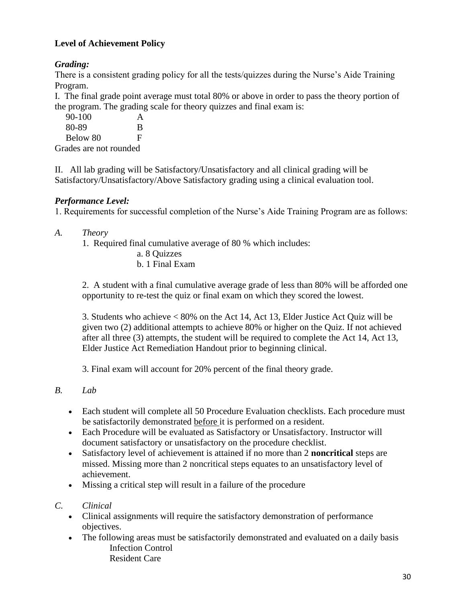# **Level of Achievement Policy**

# *Grading:*

There is a consistent grading policy for all the tests/quizzes during the Nurse's Aide Training Program.

I. The final grade point average must total 80% or above in order to pass the theory portion of the program. The grading scale for theory quizzes and final exam is:

| $90 - 100$            | A |
|-----------------------|---|
| 80-89                 | B |
| Below 80              | F |
| rades are not rounded |   |

Grades are not rounded

II. All lab grading will be Satisfactory/Unsatisfactory and all clinical grading will be Satisfactory/Unsatisfactory/Above Satisfactory grading using a clinical evaluation tool.

# *Performance Level:*

1. Requirements for successful completion of the Nurse's Aide Training Program are as follows:

## *A. Theory*

1. Required final cumulative average of 80 % which includes:

- a. 8 Quizzes
- b. 1 Final Exam

2. A student with a final cumulative average grade of less than 80% will be afforded one opportunity to re-test the quiz or final exam on which they scored the lowest.

3. Students who achieve < 80% on the Act 14, Act 13, Elder Justice Act Quiz will be given two (2) additional attempts to achieve 80% or higher on the Quiz. If not achieved after all three (3) attempts, the student will be required to complete the Act 14, Act 13, Elder Justice Act Remediation Handout prior to beginning clinical.

3. Final exam will account for 20% percent of the final theory grade.

# *B. Lab*

- Each student will complete all 50 Procedure Evaluation checklists. Each procedure must be satisfactorily demonstrated before it is performed on a resident.
- Each Procedure will be evaluated as Satisfactory or Unsatisfactory. Instructor will document satisfactory or unsatisfactory on the procedure checklist.
- Satisfactory level of achievement is attained if no more than 2 **noncritical** steps are missed. Missing more than 2 noncritical steps equates to an unsatisfactory level of achievement.
- Missing a critical step will result in a failure of the procedure

# *C. Clinical*

- Clinical assignments will require the satisfactory demonstration of performance objectives.
- The following areas must be satisfactorily demonstrated and evaluated on a daily basis Infection Control Resident Care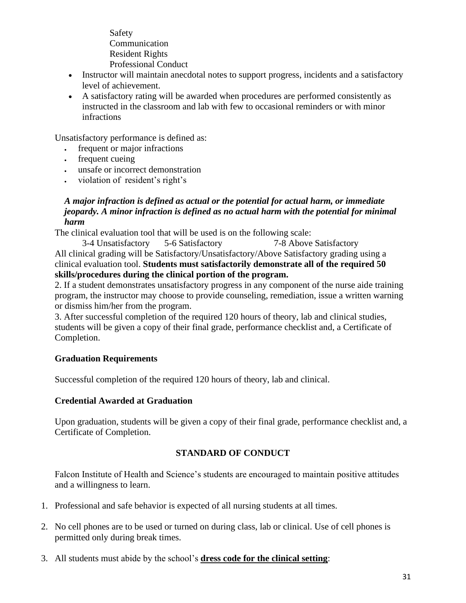Safety Communication Resident Rights Professional Conduct

- Instructor will maintain anecdotal notes to support progress, incidents and a satisfactory level of achievement.
- A satisfactory rating will be awarded when procedures are performed consistently as instructed in the classroom and lab with few to occasional reminders or with minor infractions

Unsatisfactory performance is defined as:

- frequent or major infractions
- frequent cueing
- unsafe or incorrect demonstration
- violation of resident's right's

## *A major infraction is defined as actual or the potential for actual harm, or immediate jeopardy. A minor infraction is defined as no actual harm with the potential for minimal harm*

The clinical evaluation tool that will be used is on the following scale:

3-4 Unsatisfactory 5-6 Satisfactory 7-8 Above Satisfactory All clinical grading will be Satisfactory/Unsatisfactory/Above Satisfactory grading using a clinical evaluation tool. **Students must satisfactorily demonstrate all of the required 50 skills/procedures during the clinical portion of the program.** 

2. If a student demonstrates unsatisfactory progress in any component of the nurse aide training program, the instructor may choose to provide counseling, remediation, issue a written warning or dismiss him/her from the program.

3. After successful completion of the required 120 hours of theory, lab and clinical studies, students will be given a copy of their final grade, performance checklist and, a Certificate of Completion.

# **Graduation Requirements**

Successful completion of the required 120 hours of theory, lab and clinical.

#### **Credential Awarded at Graduation**

Upon graduation, students will be given a copy of their final grade, performance checklist and, a Certificate of Completion.

# **STANDARD OF CONDUCT**

Falcon Institute of Health and Science's students are encouraged to maintain positive attitudes and a willingness to learn.

- 1. Professional and safe behavior is expected of all nursing students at all times.
- 2. No cell phones are to be used or turned on during class, lab or clinical. Use of cell phones is permitted only during break times.
- 3. All students must abide by the school's **dress code for the clinical setting**: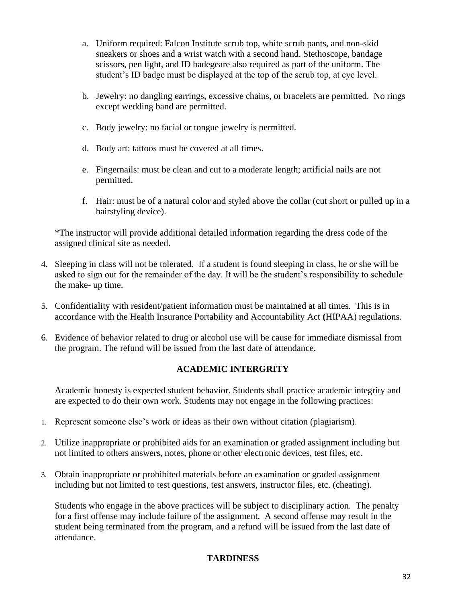- a. Uniform required: Falcon Institute scrub top, white scrub pants, and non-skid sneakers or shoes and a wrist watch with a second hand. Stethoscope, bandage scissors, pen light, and ID badegeare also required as part of the uniform. The student's ID badge must be displayed at the top of the scrub top, at eye level.
- b. Jewelry: no dangling earrings, excessive chains, or bracelets are permitted. No rings except wedding band are permitted.
- c. Body jewelry: no facial or tongue jewelry is permitted.
- d. Body art: tattoos must be covered at all times.
- e. Fingernails: must be clean and cut to a moderate length; artificial nails are not permitted.
- f. Hair: must be of a natural color and styled above the collar (cut short or pulled up in a hairstyling device).

\*The instructor will provide additional detailed information regarding the dress code of the assigned clinical site as needed.

- 4. Sleeping in class will not be tolerated. If a student is found sleeping in class, he or she will be asked to sign out for the remainder of the day. It will be the student's responsibility to schedule the make- up time.
- 5. Confidentiality with resident/patient information must be maintained at all times. This is in accordance with the Health Insurance Portability and Accountability Act **(**HIPAA) regulations.
- 6. Evidence of behavior related to drug or alcohol use will be cause for immediate dismissal from the program. The refund will be issued from the last date of attendance.

# **ACADEMIC INTERGRITY**

Academic honesty is expected student behavior. Students shall practice academic integrity and are expected to do their own work. Students may not engage in the following practices:

- 1. Represent someone else's work or ideas as their own without citation (plagiarism).
- 2. Utilize inappropriate or prohibited aids for an examination or graded assignment including but not limited to others answers, notes, phone or other electronic devices, test files, etc.
- 3. Obtain inappropriate or prohibited materials before an examination or graded assignment including but not limited to test questions, test answers, instructor files, etc. (cheating).

Students who engage in the above practices will be subject to disciplinary action. The penalty for a first offense may include failure of the assignment. A second offense may result in the student being terminated from the program, and a refund will be issued from the last date of attendance.

# **TARDINESS**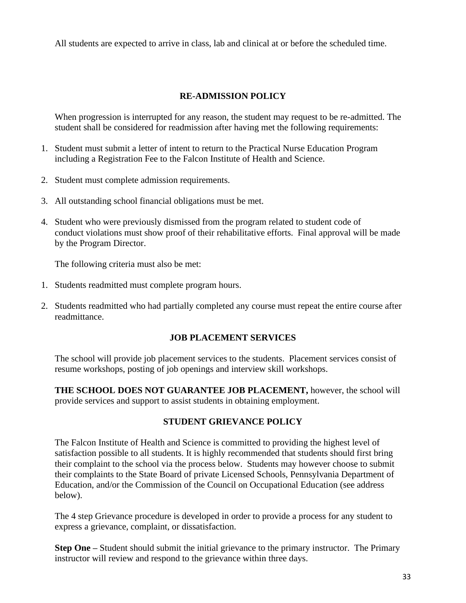All students are expected to arrive in class, lab and clinical at or before the scheduled time.

## **RE-ADMISSION POLICY**

When progression is interrupted for any reason, the student may request to be re-admitted. The student shall be considered for readmission after having met the following requirements:

- 1. Student must submit a letter of intent to return to the Practical Nurse Education Program including a Registration Fee to the Falcon Institute of Health and Science.
- 2. Student must complete admission requirements.
- 3. All outstanding school financial obligations must be met.
- 4. Student who were previously dismissed from the program related to student code of conduct violations must show proof of their rehabilitative efforts. Final approval will be made by the Program Director.

The following criteria must also be met:

- 1. Students readmitted must complete program hours.
- 2. Students readmitted who had partially completed any course must repeat the entire course after readmittance.

#### **JOB PLACEMENT SERVICES**

The school will provide job placement services to the students. Placement services consist of resume workshops, posting of job openings and interview skill workshops.

**THE SCHOOL DOES NOT GUARANTEE JOB PLACEMENT,** however, the school will provide services and support to assist students in obtaining employment.

#### **STUDENT GRIEVANCE POLICY**

The Falcon Institute of Health and Science is committed to providing the highest level of satisfaction possible to all students. It is highly recommended that students should first bring their complaint to the school via the process below. Students may however choose to submit their complaints to the State Board of private Licensed Schools, Pennsylvania Department of Education, and/or the Commission of the Council on Occupational Education (see address below).

The 4 step Grievance procedure is developed in order to provide a process for any student to express a grievance, complaint, or dissatisfaction.

**Step One –** Student should submit the initial grievance to the primary instructor. The Primary instructor will review and respond to the grievance within three days.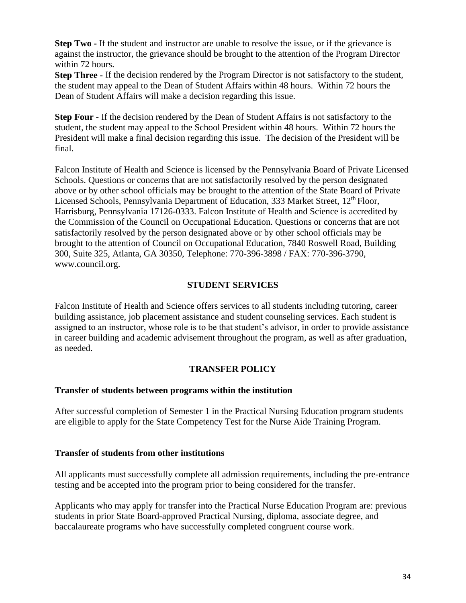**Step Two -** If the student and instructor are unable to resolve the issue, or if the grievance is against the instructor, the grievance should be brought to the attention of the Program Director within 72 hours.

**Step Three -** If the decision rendered by the Program Director is not satisfactory to the student, the student may appeal to the Dean of Student Affairs within 48 hours. Within 72 hours the Dean of Student Affairs will make a decision regarding this issue.

**Step Four -** If the decision rendered by the Dean of Student Affairs is not satisfactory to the student, the student may appeal to the School President within 48 hours. Within 72 hours the President will make a final decision regarding this issue. The decision of the President will be final.

Falcon Institute of Health and Science is licensed by the Pennsylvania Board of Private Licensed Schools. Questions or concerns that are not satisfactorily resolved by the person designated above or by other school officials may be brought to the attention of the State Board of Private Licensed Schools, Pennsylvania Department of Education, 333 Market Street, 12<sup>th</sup> Floor, Harrisburg, Pennsylvania 17126-0333. Falcon Institute of Health and Science is accredited by the Commission of the Council on Occupational Education. Questions or concerns that are not satisfactorily resolved by the person designated above or by other school officials may be brought to the attention of Council on Occupational Education, 7840 Roswell Road, Building 300, Suite 325, Atlanta, GA 30350, Telephone: 770-396-3898 / FAX: 770-396-3790, www.council.org.

#### **STUDENT SERVICES**

Falcon Institute of Health and Science offers services to all students including tutoring, career building assistance, job placement assistance and student counseling services. Each student is assigned to an instructor, whose role is to be that student's advisor, in order to provide assistance in career building and academic advisement throughout the program, as well as after graduation, as needed.

#### **TRANSFER POLICY**

#### **Transfer of students between programs within the institution**

After successful completion of Semester 1 in the Practical Nursing Education program students are eligible to apply for the State Competency Test for the Nurse Aide Training Program.

#### **Transfer of students from other institutions**

All applicants must successfully complete all admission requirements, including the pre-entrance testing and be accepted into the program prior to being considered for the transfer.

Applicants who may apply for transfer into the Practical Nurse Education Program are: previous students in prior State Board-approved Practical Nursing, diploma, associate degree, and baccalaureate programs who have successfully completed congruent course work.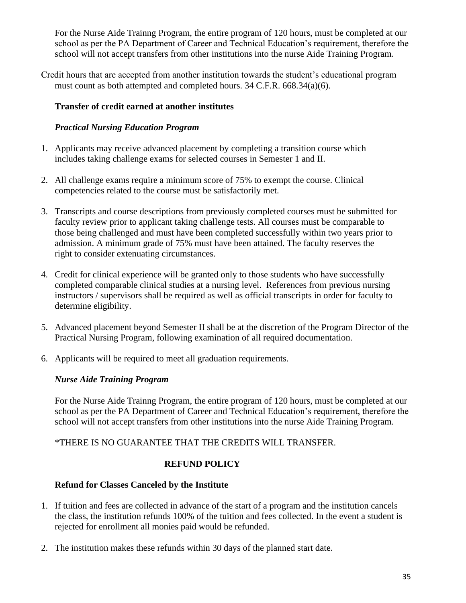For the Nurse Aide Trainng Program, the entire program of 120 hours, must be completed at our school as per the PA Department of Career and Technical Education's requirement, therefore the school will not accept transfers from other institutions into the nurse Aide Training Program.

Credit hours that are accepted from another institution towards the student's educational program must count as both attempted and completed hours. 34 C.F.R. 668.34(a)(6).

# **Transfer of credit earned at another institutes**

# *Practical Nursing Education Program*

- 1. Applicants may receive advanced placement by completing a transition course which includes taking challenge exams for selected courses in Semester 1 and II.
- 2. All challenge exams require a minimum score of 75% to exempt the course. Clinical competencies related to the course must be satisfactorily met.
- 3. Transcripts and course descriptions from previously completed courses must be submitted for faculty review prior to applicant taking challenge tests. All courses must be comparable to those being challenged and must have been completed successfully within two years prior to admission. A minimum grade of 75% must have been attained. The faculty reserves the right to consider extenuating circumstances.
- 4. Credit for clinical experience will be granted only to those students who have successfully completed comparable clinical studies at a nursing level. References from previous nursing instructors / supervisors shall be required as well as official transcripts in order for faculty to determine eligibility.
- 5. Advanced placement beyond Semester II shall be at the discretion of the Program Director of the Practical Nursing Program, following examination of all required documentation.
- 6. Applicants will be required to meet all graduation requirements.

# *Nurse Aide Training Program*

For the Nurse Aide Trainng Program, the entire program of 120 hours, must be completed at our school as per the PA Department of Career and Technical Education's requirement, therefore the school will not accept transfers from other institutions into the nurse Aide Training Program.

\*THERE IS NO GUARANTEE THAT THE CREDITS WILL TRANSFER.

# **REFUND POLICY**

# **Refund for Classes Canceled by the Institute**

- 1. If tuition and fees are collected in advance of the start of a program and the institution cancels the class, the institution refunds 100% of the tuition and fees collected. In the event a student is rejected for enrollment all monies paid would be refunded.
- 2. The institution makes these refunds within 30 days of the planned start date.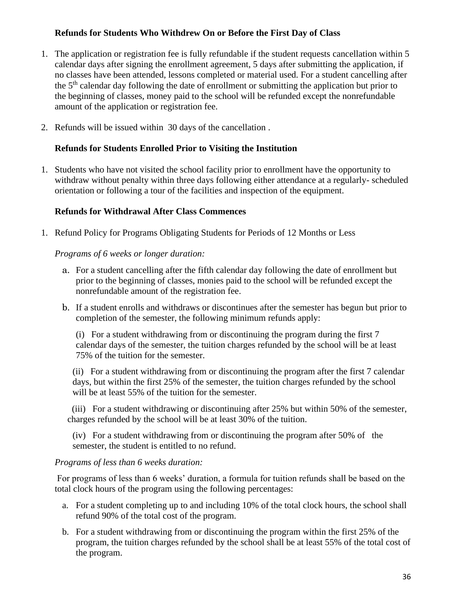## **Refunds for Students Who Withdrew On or Before the First Day of Class**

- 1. The application or registration fee is fully refundable if the student requests cancellation within 5 calendar days after signing the enrollment agreement, 5 days after submitting the application, if no classes have been attended, lessons completed or material used. For a student cancelling after the 5th calendar day following the date of enrollment or submitting the application but prior to the beginning of classes, money paid to the school will be refunded except the nonrefundable amount of the application or registration fee.
- 2. Refunds will be issued within 30 days of the cancellation .

#### **Refunds for Students Enrolled Prior to Visiting the Institution**

1. Students who have not visited the school facility prior to enrollment have the opportunity to withdraw without penalty within three days following either attendance at a regularly- scheduled orientation or following a tour of the facilities and inspection of the equipment.

#### **Refunds for Withdrawal After Class Commences**

1. Refund Policy for Programs Obligating Students for Periods of 12 Months or Less

#### *Programs of 6 weeks or longer duration:*

- a. For a student cancelling after the fifth calendar day following the date of enrollment but prior to the beginning of classes, monies paid to the school will be refunded except the nonrefundable amount of the registration fee.
- b. If a student enrolls and withdraws or discontinues after the semester has begun but prior to completion of the semester, the following minimum refunds apply:

(i) For a student withdrawing from or discontinuing the program during the first 7 calendar days of the semester, the tuition charges refunded by the school will be at least 75% of the tuition for the semester.

(ii) For a student withdrawing from or discontinuing the program after the first 7 calendar days, but within the first 25% of the semester, the tuition charges refunded by the school will be at least 55% of the tuition for the semester.

 (iii) For a student withdrawing or discontinuing after 25% but within 50% of the semester, charges refunded by the school will be at least 30% of the tuition.

(iv) For a student withdrawing from or discontinuing the program after 50% of the semester, the student is entitled to no refund.

#### *Programs of less than 6 weeks duration:*

For programs of less than 6 weeks' duration, a formula for tuition refunds shall be based on the total clock hours of the program using the following percentages:

- a. For a student completing up to and including 10% of the total clock hours, the school shall refund 90% of the total cost of the program.
- b. For a student withdrawing from or discontinuing the program within the first 25% of the program, the tuition charges refunded by the school shall be at least 55% of the total cost of the program.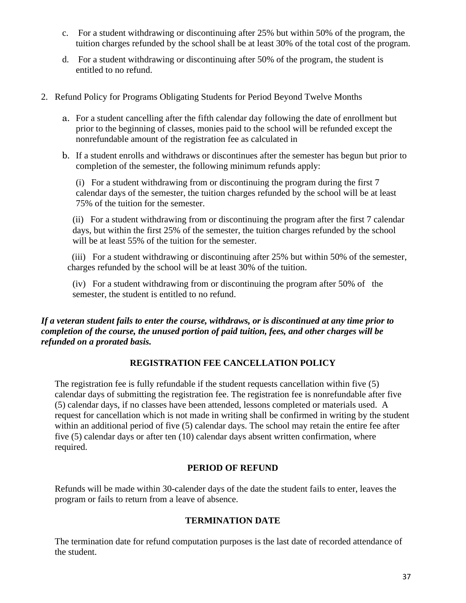- c. For a student withdrawing or discontinuing after 25% but within 50% of the program, the tuition charges refunded by the school shall be at least 30% of the total cost of the program.
- d. For a student withdrawing or discontinuing after 50% of the program, the student is entitled to no refund.
- 2. Refund Policy for Programs Obligating Students for Period Beyond Twelve Months
	- a. For a student cancelling after the fifth calendar day following the date of enrollment but prior to the beginning of classes, monies paid to the school will be refunded except the nonrefundable amount of the registration fee as calculated in
	- b. If a student enrolls and withdraws or discontinues after the semester has begun but prior to completion of the semester, the following minimum refunds apply:

(i) For a student withdrawing from or discontinuing the program during the first 7 calendar days of the semester, the tuition charges refunded by the school will be at least 75% of the tuition for the semester.

(ii) For a student withdrawing from or discontinuing the program after the first 7 calendar days, but within the first 25% of the semester, the tuition charges refunded by the school will be at least 55% of the tuition for the semester.

 (iii) For a student withdrawing or discontinuing after 25% but within 50% of the semester, charges refunded by the school will be at least 30% of the tuition.

(iv) For a student withdrawing from or discontinuing the program after 50% of the semester, the student is entitled to no refund.

#### *If a veteran student fails to enter the course, withdraws, or is discontinued at any time prior to completion of the course, the unused portion of paid tuition, fees, and other charges will be refunded on a prorated basis.*

# **REGISTRATION FEE CANCELLATION POLICY**

The registration fee is fully refundable if the student requests cancellation within five (5) calendar days of submitting the registration fee. The registration fee is nonrefundable after five (5) calendar days, if no classes have been attended, lessons completed or materials used. A request for cancellation which is not made in writing shall be confirmed in writing by the student within an additional period of five (5) calendar days. The school may retain the entire fee after five (5) calendar days or after ten (10) calendar days absent written confirmation, where required.

#### **PERIOD OF REFUND**

Refunds will be made within 30-calender days of the date the student fails to enter, leaves the program or fails to return from a leave of absence.

#### **TERMINATION DATE**

The termination date for refund computation purposes is the last date of recorded attendance of the student.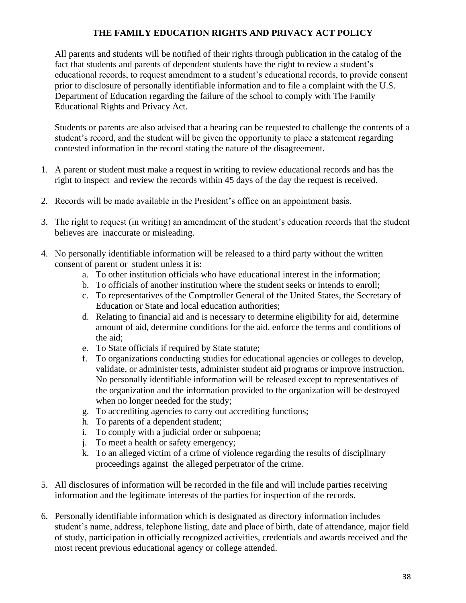# **THE FAMILY EDUCATION RIGHTS AND PRIVACY ACT POLICY**

All parents and students will be notified of their rights through publication in the catalog of the fact that students and parents of dependent students have the right to review a student's educational records, to request amendment to a student's educational records, to provide consent prior to disclosure of personally identifiable information and to file a complaint with the U.S. Department of Education regarding the failure of the school to comply with The Family Educational Rights and Privacy Act.

Students or parents are also advised that a hearing can be requested to challenge the contents of a student's record, and the student will be given the opportunity to place a statement regarding contested information in the record stating the nature of the disagreement.

- 1. A parent or student must make a request in writing to review educational records and has the right to inspect and review the records within 45 days of the day the request is received.
- 2. Records will be made available in the President's office on an appointment basis.
- 3. The right to request (in writing) an amendment of the student's education records that the student believes are inaccurate or misleading.
- 4. No personally identifiable information will be released to a third party without the written consent of parent or student unless it is:
	- a. To other institution officials who have educational interest in the information;
	- b. To officials of another institution where the student seeks or intends to enroll;
	- c. To representatives of the Comptroller General of the United States, the Secretary of Education or State and local education authorities;
	- d. Relating to financial aid and is necessary to determine eligibility for aid, determine amount of aid, determine conditions for the aid, enforce the terms and conditions of the aid;
	- e. To State officials if required by State statute;
	- f. To organizations conducting studies for educational agencies or colleges to develop, validate, or administer tests, administer student aid programs or improve instruction. No personally identifiable information will be released except to representatives of the organization and the information provided to the organization will be destroyed when no longer needed for the study;
	- g. To accrediting agencies to carry out accrediting functions;
	- h. To parents of a dependent student;
	- i. To comply with a judicial order or subpoena;
	- j. To meet a health or safety emergency;
	- k. To an alleged victim of a crime of violence regarding the results of disciplinary proceedings against the alleged perpetrator of the crime.
- 5. All disclosures of information will be recorded in the file and will include parties receiving information and the legitimate interests of the parties for inspection of the records.
- 6. Personally identifiable information which is designated as directory information includes student's name, address, telephone listing, date and place of birth, date of attendance, major field of study, participation in officially recognized activities, credentials and awards received and the most recent previous educational agency or college attended.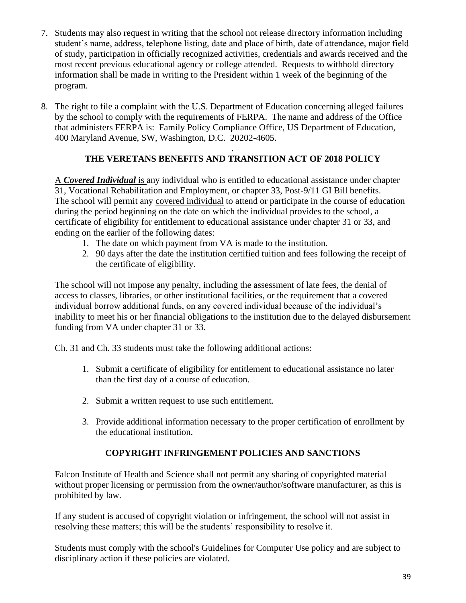- 7. Students may also request in writing that the school not release directory information including student's name, address, telephone listing, date and place of birth, date of attendance, major field of study, participation in officially recognized activities, credentials and awards received and the most recent previous educational agency or college attended. Requests to withhold directory information shall be made in writing to the President within 1 week of the beginning of the program.
- 8. The right to file a complaint with the U.S. Department of Education concerning alleged failures by the school to comply with the requirements of FERPA. The name and address of the Office that administers FERPA is: Family Policy Compliance Office, US Department of Education, 400 Maryland Avenue, SW, Washington, D.C. 20202-4605.

#### *.* **THE VERETANS BENEFITS AND TRANSITION ACT OF 2018 POLICY**

A *Covered Individual* is any individual who is entitled to educational assistance under chapter 31, Vocational Rehabilitation and Employment, or chapter 33, Post-9/11 GI Bill benefits. The school will permit any covered individual to attend or participate in the course of education during the period beginning on the date on which the individual provides to the school, a certificate of eligibility for entitlement to educational assistance under chapter 31 or 33, and ending on the earlier of the following dates:

- 1. The date on which payment from VA is made to the institution.
- 2. 90 days after the date the institution certified tuition and fees following the receipt of the certificate of eligibility.

The school will not impose any penalty, including the assessment of late fees, the denial of access to classes, libraries, or other institutional facilities, or the requirement that a covered individual borrow additional funds, on any covered individual because of the individual's inability to meet his or her financial obligations to the institution due to the delayed disbursement funding from VA under chapter 31 or 33.

Ch. 31 and Ch. 33 students must take the following additional actions:

- 1. Submit a certificate of eligibility for entitlement to educational assistance no later than the first day of a course of education.
- 2. Submit a written request to use such entitlement.
- 3. Provide additional information necessary to the proper certification of enrollment by the educational institution.

# **COPYRIGHT INFRINGEMENT POLICIES AND SANCTIONS**

Falcon Institute of Health and Science shall not permit any sharing of copyrighted material without proper licensing or permission from the owner/author/software manufacturer, as this is prohibited by law.

If any student is accused of copyright violation or infringement, the school will not assist in resolving these matters; this will be the students' responsibility to resolve it.

Students must comply with the school's Guidelines for Computer Use policy and are subject to disciplinary action if these policies are violated.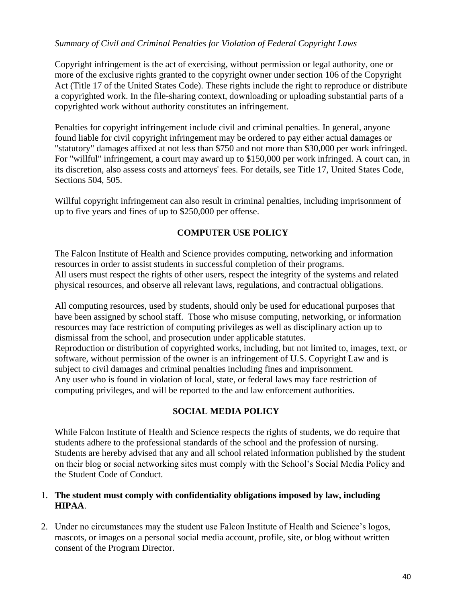#### *Summary of Civil and Criminal Penalties for Violation of Federal Copyright Laws*

Copyright infringement is the act of exercising, without permission or legal authority, one or more of the exclusive rights granted to the copyright owner under section 106 of the Copyright Act (Title 17 of the United States Code). These rights include the right to reproduce or distribute a copyrighted work. In the file-sharing context, downloading or uploading substantial parts of a copyrighted work without authority constitutes an infringement.

Penalties for copyright infringement include civil and criminal penalties. In general, anyone found liable for civil copyright infringement may be ordered to pay either actual damages or "statutory" damages affixed at not less than \$750 and not more than \$30,000 per work infringed. For "willful" infringement, a court may award up to \$150,000 per work infringed. A court can, in its discretion, also assess costs and attorneys' fees. For details, see Title 17, United States Code, Sections 504, 505.

Willful copyright infringement can also result in criminal penalties, including imprisonment of up to five years and fines of up to \$250,000 per offense.

## **COMPUTER USE POLICY**

The Falcon Institute of Health and Science provides computing, networking and information resources in order to assist students in successful completion of their programs. All users must respect the rights of other users, respect the integrity of the systems and related physical resources, and observe all relevant laws, regulations, and contractual obligations.

All computing resources, used by students, should only be used for educational purposes that have been assigned by school staff. Those who misuse computing, networking, or information resources may face restriction of computing privileges as well as disciplinary action up to dismissal from the school, and prosecution under applicable statutes. Reproduction or distribution of copyrighted works, including, but not limited to, images, text, or software, without permission of the owner is an infringement of U.S. Copyright Law and is subject to civil damages and criminal penalties including fines and imprisonment. Any user who is found in violation of local, state, or federal laws may face restriction of computing privileges, and will be reported to the and law enforcement authorities.

#### **SOCIAL MEDIA POLICY**

While Falcon Institute of Health and Science respects the rights of students, we do require that students adhere to the professional standards of the school and the profession of nursing. Students are hereby advised that any and all school related information published by the student on their blog or social networking sites must comply with the School's Social Media Policy and the Student Code of Conduct.

#### 1. **The student must comply with confidentiality obligations imposed by law, including HIPAA**.

2. Under no circumstances may the student use Falcon Institute of Health and Science's logos, mascots, or images on a personal social media account, profile, site, or blog without written consent of the Program Director.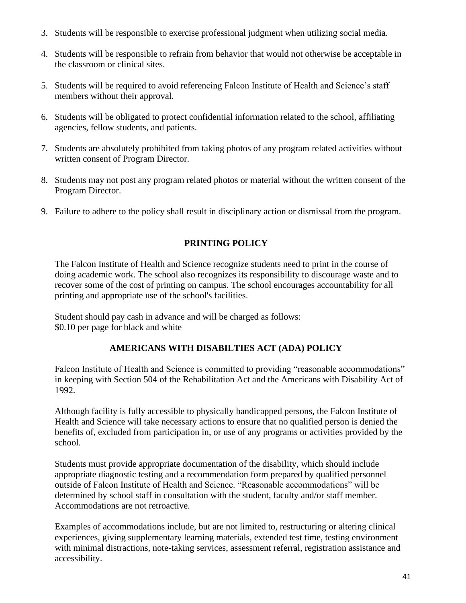- 3. Students will be responsible to exercise professional judgment when utilizing social media.
- 4. Students will be responsible to refrain from behavior that would not otherwise be acceptable in the classroom or clinical sites.
- 5. Students will be required to avoid referencing Falcon Institute of Health and Science's staff members without their approval.
- 6. Students will be obligated to protect confidential information related to the school, affiliating agencies, fellow students, and patients.
- 7. Students are absolutely prohibited from taking photos of any program related activities without written consent of Program Director.
- 8. Students may not post any program related photos or material without the written consent of the Program Director.
- 9. Failure to adhere to the policy shall result in disciplinary action or dismissal from the program.

# **PRINTING POLICY**

The Falcon Institute of Health and Science recognize students need to print in the course of doing academic work. The school also recognizes its responsibility to discourage waste and to recover some of the cost of printing on campus. The school encourages accountability for all printing and appropriate use of the school's facilities.

Student should pay cash in advance and will be charged as follows: \$0.10 per page for black and white

# **AMERICANS WITH DISABILTIES ACT (ADA) POLICY**

Falcon Institute of Health and Science is committed to providing "reasonable accommodations" in keeping with Section 504 of the Rehabilitation Act and the Americans with Disability Act of 1992.

Although facility is fully accessible to physically handicapped persons, the Falcon Institute of Health and Science will take necessary actions to ensure that no qualified person is denied the benefits of, excluded from participation in, or use of any programs or activities provided by the school.

Students must provide appropriate documentation of the disability, which should include appropriate diagnostic testing and a recommendation form prepared by qualified personnel outside of Falcon Institute of Health and Science. "Reasonable accommodations" will be determined by school staff in consultation with the student, faculty and/or staff member. Accommodations are not retroactive.

Examples of accommodations include, but are not limited to, restructuring or altering clinical experiences, giving supplementary learning materials, extended test time, testing environment with minimal distractions, note-taking services, assessment referral, registration assistance and accessibility.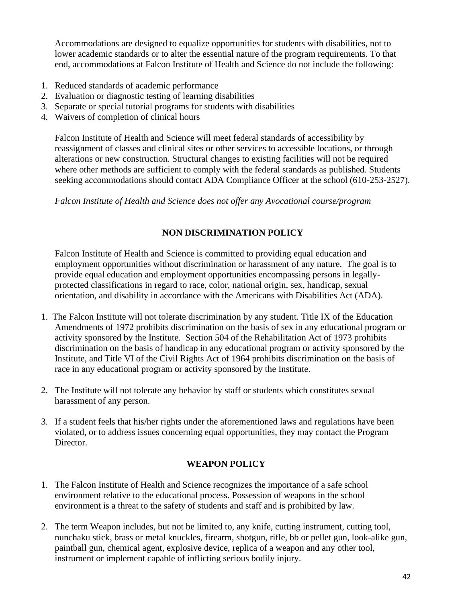Accommodations are designed to equalize opportunities for students with disabilities, not to lower academic standards or to alter the essential nature of the program requirements. To that end, accommodations at Falcon Institute of Health and Science do not include the following:

- 1. Reduced standards of academic performance
- 2. Evaluation or diagnostic testing of learning disabilities
- 3. Separate or special tutorial programs for students with disabilities
- 4. Waivers of completion of clinical hours

Falcon Institute of Health and Science will meet federal standards of accessibility by reassignment of classes and clinical sites or other services to accessible locations, or through alterations or new construction. Structural changes to existing facilities will not be required where other methods are sufficient to comply with the federal standards as published. Students seeking accommodations should contact ADA Compliance Officer at the school (610-253-2527).

*Falcon Institute of Health and Science does not offer any Avocational course/program*

# **NON DISCRIMINATION POLICY**

Falcon Institute of Health and Science is committed to providing equal education and employment opportunities without discrimination or harassment of any nature. The goal is to provide equal education and employment opportunities encompassing persons in legallyprotected classifications in regard to race, color, national origin, sex, handicap, sexual orientation, and disability in accordance with the Americans with Disabilities Act (ADA).

- 1. The Falcon Institute will not tolerate discrimination by any student. Title IX of the Education Amendments of 1972 prohibits discrimination on the basis of sex in any educational program or activity sponsored by the Institute. Section 504 of the Rehabilitation Act of 1973 prohibits discrimination on the basis of handicap in any educational program or activity sponsored by the Institute, and Title VI of the Civil Rights Act of 1964 prohibits discrimination on the basis of race in any educational program or activity sponsored by the Institute.
- 2. The Institute will not tolerate any behavior by staff or students which constitutes sexual harassment of any person.
- 3. If a student feels that his/her rights under the aforementioned laws and regulations have been violated, or to address issues concerning equal opportunities, they may contact the Program Director.

# **WEAPON POLICY**

- 1. The Falcon Institute of Health and Science recognizes the importance of a safe school environment relative to the educational process. Possession of weapons in the school environment is a threat to the safety of students and staff and is prohibited by law.
- 2. The term Weapon includes, but not be limited to, any knife, cutting instrument, cutting tool, nunchaku stick, brass or metal knuckles, firearm, shotgun, rifle, bb or pellet gun, look-alike gun, paintball gun, chemical agent, explosive device, replica of a weapon and any other tool, instrument or implement capable of inflicting serious bodily injury.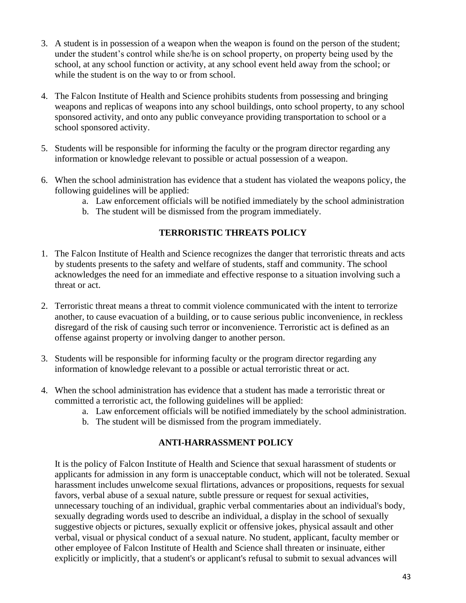- 3. A student is in possession of a weapon when the weapon is found on the person of the student; under the student's control while she/he is on school property, on property being used by the school, at any school function or activity, at any school event held away from the school; or while the student is on the way to or from school.
- 4. The Falcon Institute of Health and Science prohibits students from possessing and bringing weapons and replicas of weapons into any school buildings, onto school property, to any school sponsored activity, and onto any public conveyance providing transportation to school or a school sponsored activity.
- 5. Students will be responsible for informing the faculty or the program director regarding any information or knowledge relevant to possible or actual possession of a weapon.
- 6. When the school administration has evidence that a student has violated the weapons policy, the following guidelines will be applied:
	- a. Law enforcement officials will be notified immediately by the school administration
	- b. The student will be dismissed from the program immediately.

# **TERRORISTIC THREATS POLICY**

- 1. The Falcon Institute of Health and Science recognizes the danger that terroristic threats and acts by students presents to the safety and welfare of students, staff and community. The school acknowledges the need for an immediate and effective response to a situation involving such a threat or act.
- 2. Terroristic threat means a threat to commit violence communicated with the intent to terrorize another, to cause evacuation of a building, or to cause serious public inconvenience, in reckless disregard of the risk of causing such terror or inconvenience. Terroristic act is defined as an offense against property or involving danger to another person.
- 3. Students will be responsible for informing faculty or the program director regarding any information of knowledge relevant to a possible or actual terroristic threat or act.
- 4. When the school administration has evidence that a student has made a terroristic threat or committed a terroristic act, the following guidelines will be applied:
	- a. Law enforcement officials will be notified immediately by the school administration.
	- b. The student will be dismissed from the program immediately.

# **ANTI-HARRASSMENT POLICY**

It is the policy of Falcon Institute of Health and Science that sexual harassment of students or applicants for admission in any form is unacceptable conduct, which will not be tolerated. Sexual harassment includes unwelcome sexual flirtations, advances or propositions, requests for sexual favors, verbal abuse of a sexual nature, subtle pressure or request for sexual activities, unnecessary touching of an individual, graphic verbal commentaries about an individual's body, sexually degrading words used to describe an individual, a display in the school of sexually suggestive objects or pictures, sexually explicit or offensive jokes, physical assault and other verbal, visual or physical conduct of a sexual nature. No student, applicant, faculty member or other employee of Falcon Institute of Health and Science shall threaten or insinuate, either explicitly or implicitly, that a student's or applicant's refusal to submit to sexual advances will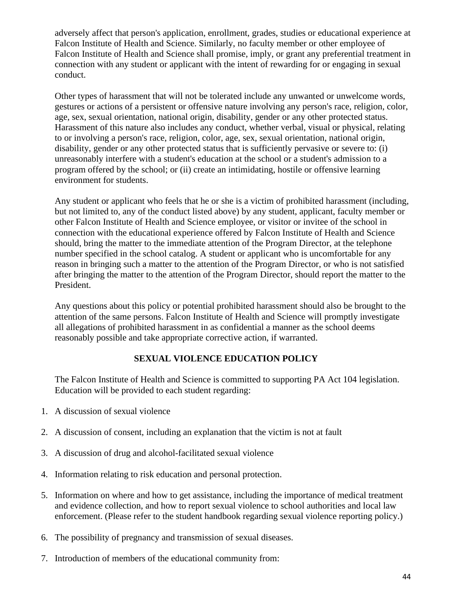adversely affect that person's application, enrollment, grades, studies or educational experience at Falcon Institute of Health and Science. Similarly, no faculty member or other employee of Falcon Institute of Health and Science shall promise, imply, or grant any preferential treatment in connection with any student or applicant with the intent of rewarding for or engaging in sexual conduct.

Other types of harassment that will not be tolerated include any unwanted or unwelcome words, gestures or actions of a persistent or offensive nature involving any person's race, religion, color, age, sex, sexual orientation, national origin, disability, gender or any other protected status. Harassment of this nature also includes any conduct, whether verbal, visual or physical, relating to or involving a person's race, religion, color, age, sex, sexual orientation, national origin, disability, gender or any other protected status that is sufficiently pervasive or severe to: (i) unreasonably interfere with a student's education at the school or a student's admission to a program offered by the school; or (ii) create an intimidating, hostile or offensive learning environment for students.

Any student or applicant who feels that he or she is a victim of prohibited harassment (including, but not limited to, any of the conduct listed above) by any student, applicant, faculty member or other Falcon Institute of Health and Science employee, or visitor or invitee of the school in connection with the educational experience offered by Falcon Institute of Health and Science should, bring the matter to the immediate attention of the Program Director, at the telephone number specified in the school catalog. A student or applicant who is uncomfortable for any reason in bringing such a matter to the attention of the Program Director, or who is not satisfied after bringing the matter to the attention of the Program Director, should report the matter to the President.

Any questions about this policy or potential prohibited harassment should also be brought to the attention of the same persons. Falcon Institute of Health and Science will promptly investigate all allegations of prohibited harassment in as confidential a manner as the school deems reasonably possible and take appropriate corrective action, if warranted.

# **SEXUAL VIOLENCE EDUCATION POLICY**

The Falcon Institute of Health and Science is committed to supporting PA Act 104 legislation. Education will be provided to each student regarding:

- 1. A discussion of sexual violence
- 2. A discussion of consent, including an explanation that the victim is not at fault
- 3. A discussion of drug and alcohol-facilitated sexual violence
- 4. Information relating to risk education and personal protection.
- 5. Information on where and how to get assistance, including the importance of medical treatment and evidence collection, and how to report sexual violence to school authorities and local law enforcement. (Please refer to the student handbook regarding sexual violence reporting policy.)
- 6. The possibility of pregnancy and transmission of sexual diseases.
- 7. Introduction of members of the educational community from: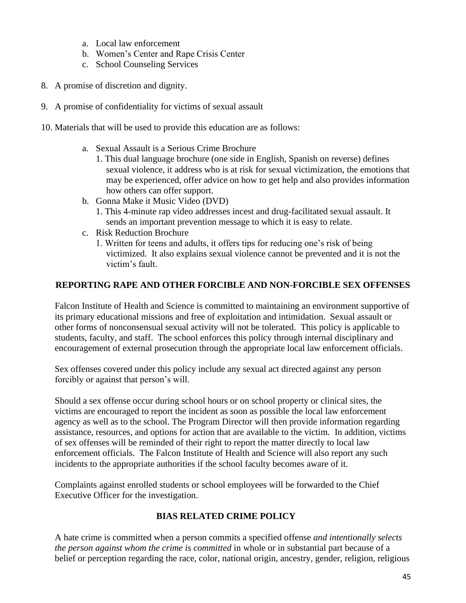- a. Local law enforcement
- b. Women's Center and Rape Crisis Center
- c. School Counseling Services
- 8. A promise of discretion and dignity.
- 9. A promise of confidentiality for victims of sexual assault
- 10. Materials that will be used to provide this education are as follows:
	- a. Sexual Assault is a Serious Crime Brochure
		- 1. This dual language brochure (one side in English, Spanish on reverse) defines sexual violence, it address who is at risk for sexual victimization, the emotions that may be experienced, offer advice on how to get help and also provides information how others can offer support.
	- b. Gonna Make it Music Video (DVD)
		- 1. This 4-minute rap video addresses incest and drug-facilitated sexual assault. It sends an important prevention message to which it is easy to relate.
	- c. Risk Reduction Brochure
		- 1. Written for teens and adults, it offers tips for reducing one's risk of being victimized. It also explains sexual violence cannot be prevented and it is not the victim's fault.

#### **REPORTING RAPE AND OTHER FORCIBLE AND NON-FORCIBLE SEX OFFENSES**

Falcon Institute of Health and Science is committed to maintaining an environment supportive of its primary educational missions and free of exploitation and intimidation. Sexual assault or other forms of nonconsensual sexual activity will not be tolerated. This policy is applicable to students, faculty, and staff. The school enforces this policy through internal disciplinary and encouragement of external prosecution through the appropriate local law enforcement officials.

Sex offenses covered under this policy include any sexual act directed against any person forcibly or against that person's will.

Should a sex offense occur during school hours or on school property or clinical sites, the victims are encouraged to report the incident as soon as possible the local law enforcement agency as well as to the school. The Program Director will then provide information regarding assistance, resources, and options for action that are available to the victim. In addition, victims of sex offenses will be reminded of their right to report the matter directly to local law enforcement officials. The Falcon Institute of Health and Science will also report any such incidents to the appropriate authorities if the school faculty becomes aware of it.

Complaints against enrolled students or school employees will be forwarded to the Chief Executive Officer for the investigation.

#### **BIAS RELATED CRIME POLICY**

A hate crime is committed when a person commits a specified offense *and intentionally selects the person against whom the crime is committed* in whole or in substantial part because of a belief or perception regarding the race, color, national origin, ancestry, gender, religion, religious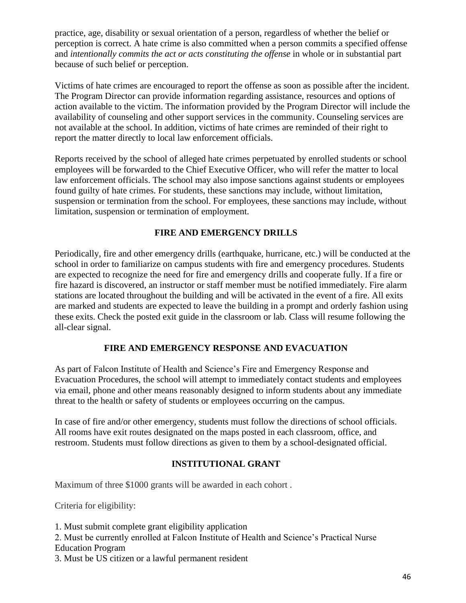practice, age, disability or sexual orientation of a person, regardless of whether the belief or perception is correct. A hate crime is also committed when a person commits a specified offense and *intentionally commits the act or acts constituting the offense* in whole or in substantial part because of such belief or perception.

Victims of hate crimes are encouraged to report the offense as soon as possible after the incident. The Program Director can provide information regarding assistance, resources and options of action available to the victim. The information provided by the Program Director will include the availability of counseling and other support services in the community. Counseling services are not available at the school. In addition, victims of hate crimes are reminded of their right to report the matter directly to local law enforcement officials.

Reports received by the school of alleged hate crimes perpetuated by enrolled students or school employees will be forwarded to the Chief Executive Officer, who will refer the matter to local law enforcement officials. The school may also impose sanctions against students or employees found guilty of hate crimes. For students, these sanctions may include, without limitation, suspension or termination from the school. For employees, these sanctions may include, without limitation, suspension or termination of employment.

## **FIRE AND EMERGENCY DRILLS**

Periodically, fire and other emergency drills (earthquake, hurricane, etc.) will be conducted at the school in order to familiarize on campus students with fire and emergency procedures. Students are expected to recognize the need for fire and emergency drills and cooperate fully. If a fire or fire hazard is discovered, an instructor or staff member must be notified immediately. Fire alarm stations are located throughout the building and will be activated in the event of a fire. All exits are marked and students are expected to leave the building in a prompt and orderly fashion using these exits. Check the posted exit guide in the classroom or lab. Class will resume following the all-clear signal.

#### **FIRE AND EMERGENCY RESPONSE AND EVACUATION**

As part of Falcon Institute of Health and Science's Fire and Emergency Response and Evacuation Procedures, the school will attempt to immediately contact students and employees via email, phone and other means reasonably designed to inform students about any immediate threat to the health or safety of students or employees occurring on the campus.

In case of fire and/or other emergency, students must follow the directions of school officials. All rooms have exit routes designated on the maps posted in each classroom, office, and restroom. Students must follow directions as given to them by a school-designated official.

#### **INSTITUTIONAL GRANT**

Maximum of three \$1000 grants will be awarded in each cohort .

Criteria for eligibility:

1. Must submit complete grant eligibility application

2. Must be currently enrolled at Falcon Institute of Health and Science's Practical Nurse Education Program

3. Must be US citizen or a lawful permanent resident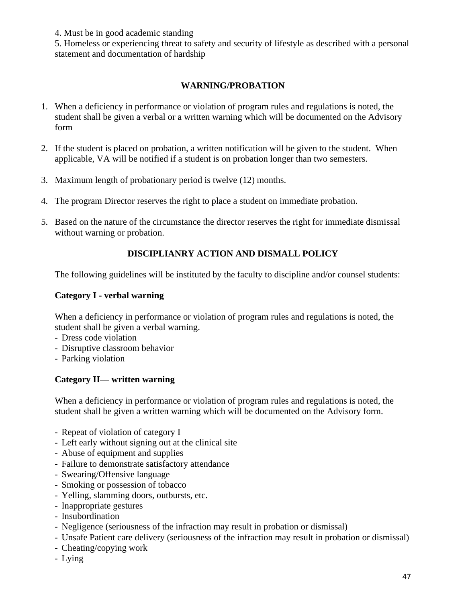4. Must be in good academic standing

5. Homeless or experiencing threat to safety and security of lifestyle as described with a personal statement and documentation of hardship

## **WARNING/PROBATION**

- 1. When a deficiency in performance or violation of program rules and regulations is noted, the student shall be given a verbal or a written warning which will be documented on the Advisory form
- 2. If the student is placed on probation, a written notification will be given to the student. When applicable, VA will be notified if a student is on probation longer than two semesters.
- 3. Maximum length of probationary period is twelve (12) months.
- 4. The program Director reserves the right to place a student on immediate probation.
- 5. Based on the nature of the circumstance the director reserves the right for immediate dismissal without warning or probation.

# **DISCIPLIANRY ACTION AND DISMALL POLICY**

The following guidelines will be instituted by the faculty to discipline and/or counsel students:

#### **Category I - verbal warning**

When a deficiency in performance or violation of program rules and regulations is noted, the student shall be given a verbal warning.

- Dress code violation
- Disruptive classroom behavior
- Parking violation

#### **Category II— written warning**

When a deficiency in performance or violation of program rules and regulations is noted, the student shall be given a written warning which will be documented on the Advisory form.

- Repeat of violation of category I
- Left early without signing out at the clinical site
- Abuse of equipment and supplies
- Failure to demonstrate satisfactory attendance
- Swearing/Offensive language
- Smoking or possession of tobacco
- Yelling, slamming doors, outbursts, etc.
- Inappropriate gestures
- Insubordination
- Negligence (seriousness of the infraction may result in probation or dismissal)
- Unsafe Patient care delivery (seriousness of the infraction may result in probation or dismissal)
- Cheating/copying work
- Lying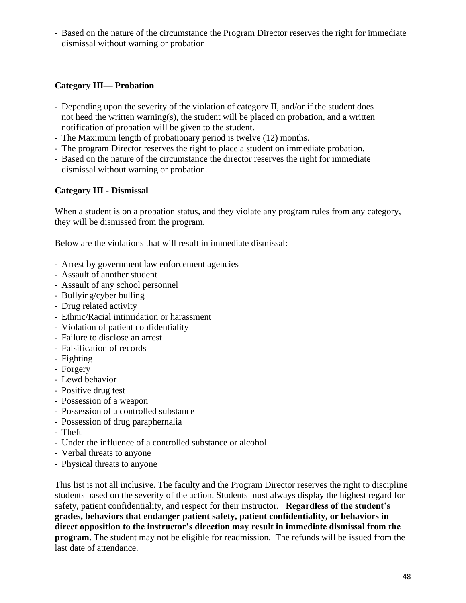- Based on the nature of the circumstance the Program Director reserves the right for immediate dismissal without warning or probation

## **Category III— Probation**

- Depending upon the severity of the violation of category II, and/or if the student does not heed the written warning(s), the student will be placed on probation, and a written notification of probation will be given to the student.
- The Maximum length of probationary period is twelve (12) months.
- The program Director reserves the right to place a student on immediate probation.
- Based on the nature of the circumstance the director reserves the right for immediate dismissal without warning or probation.

#### **Category III - Dismissal**

When a student is on a probation status, and they violate any program rules from any category, they will be dismissed from the program.

Below are the violations that will result in immediate dismissal:

- Arrest by government law enforcement agencies
- Assault of another student
- Assault of any school personnel
- Bullying/cyber bulling
- Drug related activity
- Ethnic/Racial intimidation or harassment
- Violation of patient confidentiality
- Failure to disclose an arrest
- Falsification of records
- Fighting
- Forgery
- Lewd behavior
- Positive drug test
- Possession of a weapon
- Possession of a controlled substance
- Possession of drug paraphernalia
- Theft
- Under the influence of a controlled substance or alcohol
- Verbal threats to anyone
- Physical threats to anyone

This list is not all inclusive. The faculty and the Program Director reserves the right to discipline students based on the severity of the action. Students must always display the highest regard for safety, patient confidentiality, and respect for their instructor. **Regardless of the student's grades, behaviors that endanger patient safety, patient confidentiality, or behaviors in direct opposition to the instructor's direction may result in immediate dismissal from the program.** The student may not be eligible for readmission. The refunds will be issued from the last date of attendance.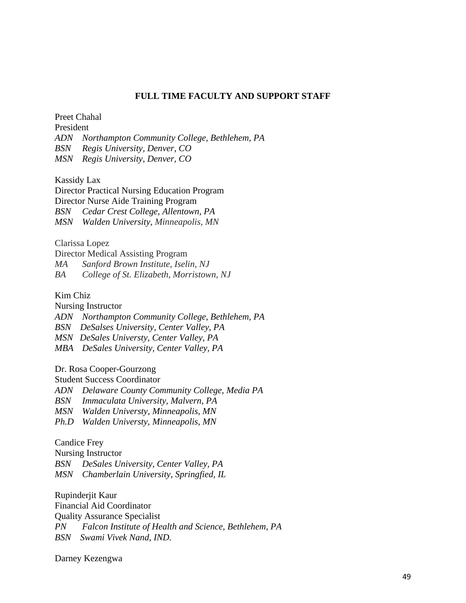#### **FULL TIME FACULTY AND SUPPORT STAFF**

Preet Chahal President *ADN Northampton Community College, Bethlehem, PA BSN Regis University, Denver, CO MSN Regis University, Denver, CO*

Kassidy Lax

Director Practical Nursing Education Program

Director Nurse Aide Training Program

*BSN Cedar Crest College, Allentown, PA*

*MSN Walden University, Minneapolis, MN*

Clarissa Lopez

Director Medical Assisting Program

*MA Sanford Brown Institute, Iselin, NJ*

*BA College of St. Elizabeth, Morristown, NJ*

Kim Chiz

Nursing Instructor

*ADN Northampton Community College, Bethlehem, PA*

*BSN DeSalses University, Center Valley, PA*

*MSN DeSales Universty, Center Valley, PA*

*MBA DeSales University, Center Valley, PA*

Dr. Rosa Cooper-Gourzong

Student Success Coordinator

*ADN Delaware County Community College, Media PA*

*BSN Immaculata University, Malvern, PA*

*MSN Walden Universty, Minneapolis, MN*

*Ph.D Walden Universty, Minneapolis, MN*

Candice Frey Nursing Instructor *BSN DeSales University, Center Valley, PA*

*MSN Chamberlain University, Springfied, IL*

Rupinderjit Kaur Financial Aid Coordinator Quality Assurance Specialist *PN Falcon Institute of Health and Science, Bethlehem, PA BSN Swami Vivek Nand, IND.* 

Darney Kezengwa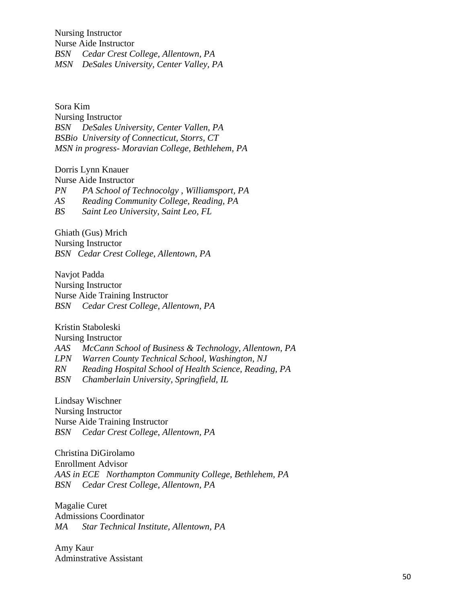Nursing Instructor Nurse Aide Instructor *BSN Cedar Crest College, Allentown, PA MSN DeSales University, Center Valley, PA*

Sora Kim Nursing Instructor *BSN DeSales University, Center Vallen, PA BSBio University of Connecticut, Storrs, CT MSN in progress- Moravian College, Bethlehem, PA*

Dorris Lynn Knauer

Nurse Aide Instructor

*PN PA School of Technocolgy , Williamsport, PA*

*AS Reading Community College, Reading, PA*

*BS Saint Leo University, Saint Leo, FL*

Ghiath (Gus) Mrich Nursing Instructor *BSN Cedar Crest College, Allentown, PA*

Navjot Padda Nursing Instructor Nurse Aide Training Instructor *BSN Cedar Crest College, Allentown, PA*

Kristin Staboleski

Nursing Instructor

*AAS McCann School of Business & Technology, Allentown, PA*

*LPN Warren County Technical School, Washington, NJ*

*RN Reading Hospital School of Health Science, Reading, PA*

*BSN Chamberlain University, Springfield, IL*

Lindsay Wischner Nursing Instructor Nurse Aide Training Instructor *BSN Cedar Crest College, Allentown, PA*

Christina DiGirolamo Enrollment Advisor *AAS in ECE Northampton Community College, Bethlehem, PA BSN Cedar Crest College, Allentown, PA*

Magalie Curet Admissions Coordinator *MA Star Technical Institute, Allentown, PA*

Amy Kaur Adminstrative Assistant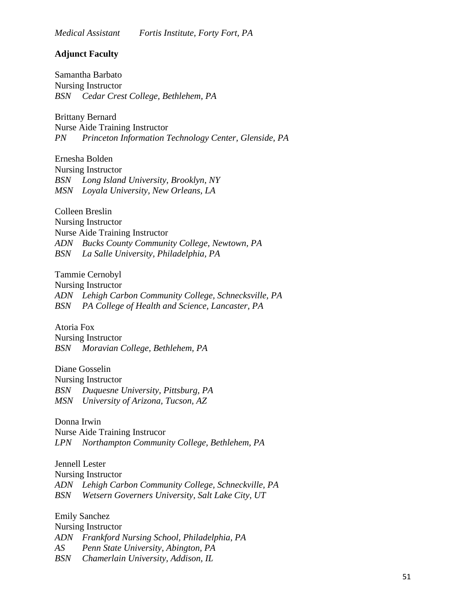#### **Adjunct Faculty**

Samantha Barbato Nursing Instructor *BSN Cedar Crest College, Bethlehem, PA*

Brittany Bernard Nurse Aide Training Instructor *PN Princeton Information Technology Center, Glenside, PA*

Ernesha Bolden Nursing Instructor *BSN Long Island University, Brooklyn, NY MSN Loyala University, New Orleans, LA*

Colleen Breslin Nursing Instructor Nurse Aide Training Instructor *ADN Bucks County Community College, Newtown, PA BSN La Salle University, Philadelphia, PA*

Tammie Cernobyl Nursing Instructor *ADN Lehigh Carbon Community College, Schnecksville, PA BSN PA College of Health and Science, Lancaster, PA*

Atoria Fox Nursing Instructor *BSN Moravian College, Bethlehem, PA*

Diane Gosselin Nursing Instructor *BSN Duquesne University, Pittsburg, PA MSN University of Arizona, Tucson, AZ*

Donna Irwin Nurse Aide Training Instrucor *LPN Northampton Community College, Bethlehem, PA*

Jennell Lester Nursing Instructor *ADN Lehigh Carbon Community College, Schneckville, PA BSN Wetsern Governers University, Salt Lake City, UT*

Emily Sanchez

Nursing Instructor *ADN Frankford Nursing School, Philadelphia, PA AS Penn State University, Abington, PA BSN Chamerlain University, Addison, IL*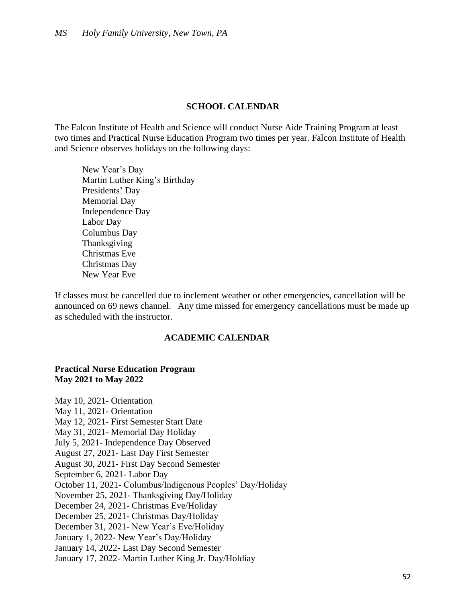#### **SCHOOL CALENDAR**

The Falcon Institute of Health and Science will conduct Nurse Aide Training Program at least two times and Practical Nurse Education Program two times per year. Falcon Institute of Health and Science observes holidays on the following days:

New Year's Day Martin Luther King's Birthday Presidents' Day Memorial Day Independence Day Labor Day Columbus Day Thanksgiving Christmas Eve Christmas Day New Year Eve

If classes must be cancelled due to inclement weather or other emergencies, cancellation will be announced on 69 news channel. Any time missed for emergency cancellations must be made up as scheduled with the instructor.

#### **ACADEMIC CALENDAR**

#### **Practical Nurse Education Program May 2021 to May 2022**

May 10, 2021- Orientation May 11, 2021- Orientation May 12, 2021- First Semester Start Date May 31, 2021- Memorial Day Holiday July 5, 2021- Independence Day Observed August 27, 2021- Last Day First Semester August 30, 2021- First Day Second Semester September 6, 2021- Labor Day October 11, 2021- Columbus/Indigenous Peoples' Day/Holiday November 25, 2021- Thanksgiving Day/Holiday December 24, 2021- Christmas Eve/Holiday December 25, 2021- Christmas Day/Holiday December 31, 2021- New Year's Eve/Holiday January 1, 2022- New Year's Day/Holiday January 14, 2022- Last Day Second Semester January 17, 2022- Martin Luther King Jr. Day/Holdiay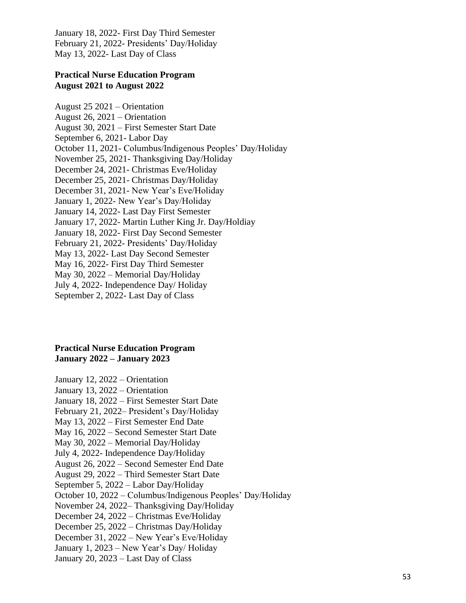January 18, 2022- First Day Third Semester February 21, 2022- Presidents' Day/Holiday May 13, 2022- Last Day of Class

#### **Practical Nurse Education Program August 2021 to August 2022**

August 25 2021 – Orientation August 26, 2021 – Orientation August 30, 2021 – First Semester Start Date September 6, 2021- Labor Day October 11, 2021- Columbus/Indigenous Peoples' Day/Holiday November 25, 2021- Thanksgiving Day/Holiday December 24, 2021- Christmas Eve/Holiday December 25, 2021- Christmas Day/Holiday December 31, 2021- New Year's Eve/Holiday January 1, 2022- New Year's Day/Holiday January 14, 2022- Last Day First Semester January 17, 2022- Martin Luther King Jr. Day/Holdiay January 18, 2022- First Day Second Semester February 21, 2022- Presidents' Day/Holiday May 13, 2022- Last Day Second Semester May 16, 2022- First Day Third Semester May 30, 2022 – Memorial Day/Holiday July 4, 2022- Independence Day/ Holiday September 2, 2022- Last Day of Class

#### **Practical Nurse Education Program January 2022 – January 2023**

January 12, 2022 – Orientation January 13, 2022 – Orientation January 18, 2022 – First Semester Start Date February 21, 2022– President's Day/Holiday May 13, 2022 – First Semester End Date May 16, 2022 – Second Semester Start Date May 30, 2022 – Memorial Day/Holiday July 4, 2022- Independence Day/Holiday August 26, 2022 – Second Semester End Date August 29, 2022 – Third Semester Start Date September 5, 2022 – Labor Day/Holiday October 10, 2022 – Columbus/Indigenous Peoples' Day/Holiday November 24, 2022– Thanksgiving Day/Holiday December 24, 2022 – Christmas Eve/Holiday December 25, 2022 – Christmas Day/Holiday December 31, 2022 – New Year's Eve/Holiday January 1, 2023 – New Year's Day/ Holiday January 20, 2023 – Last Day of Class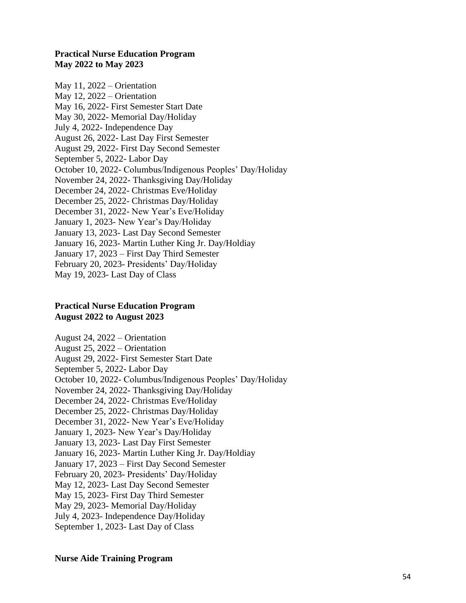#### **Practical Nurse Education Program May 2022 to May 2023**

May 11, 202 2 – Orientation May 12, 2022 – Orientation May 16, 2022 - First Semester Start Date May 30, 2022 - Memorial Day /Holiday July 4, 2022 - Independence Day August 26, 2022 - Last Day First Semester August 29, 2022 - First Day Second Semester September 5, 2022 - Labor Day October 10, 2022 - Columbus/Indigenous Peoples' Day/Holiday November 24, 2022 - Thanksgiving Day/Holiday December 24, 2022 - Christmas Eve/Holiday December 25, 2022 - Christmas Day/Holiday December 31, 2022 - New Year's Eve/Holiday January 1, 2023 - New Year's Day/Holiday January 13, 2023 - Last Day Second Semester January 16, 2023 - Martin Luther King Jr. Day/Holdiay January 1 7, 202 3 – First Day Third Semester February 2 0, 202 3 - Presidents' Day/Holiday May 19, 2023 - Last Day of Class

#### **Practical Nurse Education Program August 2022 to August 2023**

August 24, 202 2 – Orientation August 25, 2022 – Orientation August 29, 2022 - First Semester Start Date September 5, 2022 - Labor Day October 10, 2022 - Columbus/Indigenous Peoples' Day/Holiday November 24, 2022 - Thanksgiving Day/Holiday December 24, 2022 - Christmas Eve/Holiday December 25, 2022 - Christmas Day/Holiday December 31, 2022- New Year's Eve/Holiday January 1, 2023 - New Year's Day/Holiday January 13, 2023 - Last Day First Semester January 16, 2023 - Martin Luther King Jr. Day/Holdiay January 1 7, 202 3 – First Day Second Semester February 20, 2023 - Presidents' Day/Holiday May 1 2, 2023 - Last Day Second Semester May 15, 2023 - First Day Third Semester May 29, 2023 - Memorial Day/Holiday July 4, 2023 - Independence Day/Holiday September 1, 2023 - Last Day of Class